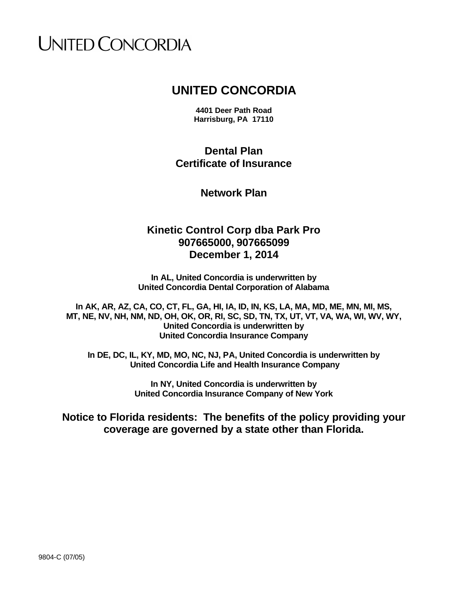# **UNITED CONCORDIA**

# **UNITED CONCORDIA**

**4401 Deer Path Road Harrisburg, PA 17110**

**Dental Plan Certificate of Insurance**

**Network Plan**

# **Kinetic Control Corp dba Park Pro 907665000, 907665099 December 1, 2014**

**In AL, United Concordia is underwritten by United Concordia Dental Corporation of Alabama**

**In AK, AR, AZ, CA, CO, CT, FL, GA, HI, IA, ID, IN, KS, LA, MA, MD, ME, MN, MI, MS, MT, NE, NV, NH, NM, ND, OH, OK, OR, RI, SC, SD, TN, TX, UT, VT, VA, WA, WI, WV, WY, United Concordia is underwritten by United Concordia Insurance Company**

**In DE, DC, IL, KY, MD, MO, NC, NJ, PA, United Concordia is underwritten by United Concordia Life and Health Insurance Company**

> **In NY, United Concordia is underwritten by United Concordia Insurance Company of New York**

**Notice to Florida residents: The benefits of the policy providing your coverage are governed by a state other than Florida.**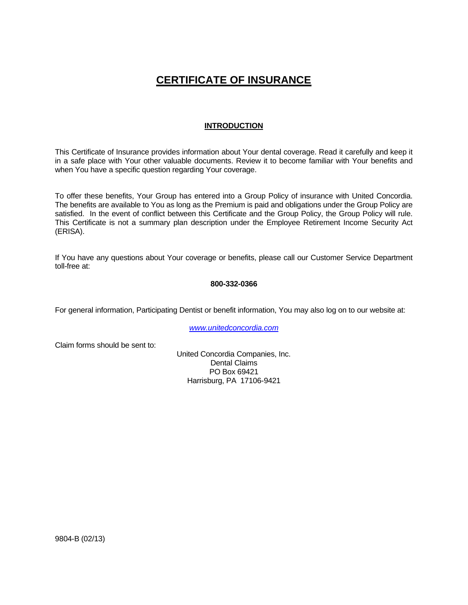# **CERTIFICATE OF INSURANCE**

### **INTRODUCTION**

This Certificate of Insurance provides information about Your dental coverage. Read it carefully and keep it in a safe place with Your other valuable documents. Review it to become familiar with Your benefits and when You have a specific question regarding Your coverage.

To offer these benefits, Your Group has entered into a Group Policy of insurance with United Concordia. The benefits are available to You as long as the Premium is paid and obligations under the Group Policy are satisfied. In the event of conflict between this Certificate and the Group Policy, the Group Policy will rule. This Certificate is not a summary plan description under the Employee Retirement Income Security Act (ERISA).

If You have any questions about Your coverage or benefits, please call our Customer Service Department toll-free at:

#### **800-332-0366**

For general information, Participating Dentist or benefit information, You may also log on to our website at:

*www.unitedconcordia.com*

Claim forms should be sent to:

United Concordia Companies, Inc. Dental Claims PO Box 69421 Harrisburg, PA 17106-9421

9804-B (02/13)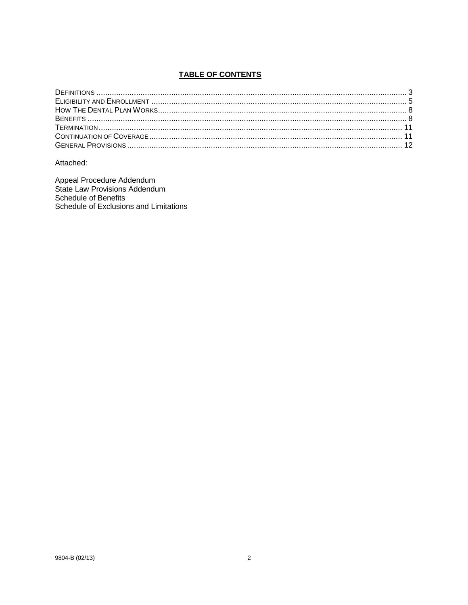# **TABLE OF CONTENTS**

Attached:

Appeal Procedure Addendum<br>State Law Provisions Addendum Schedule of Benefits Schedule of Exclusions and Limitations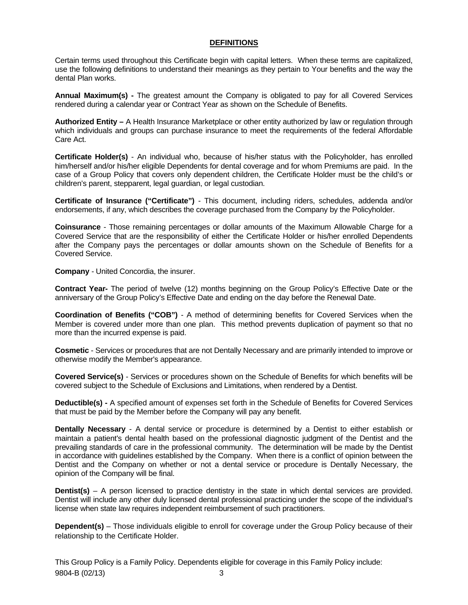#### **DEFINITIONS**

Certain terms used throughout this Certificate begin with capital letters. When these terms are capitalized, use the following definitions to understand their meanings as they pertain to Your benefits and the way the dental Plan works.

**Annual Maximum(s) -** The greatest amount the Company is obligated to pay for all Covered Services rendered during a calendar year or Contract Year as shown on the Schedule of Benefits.

**Authorized Entity –** A Health Insurance Marketplace or other entity authorized by law or regulation through which individuals and groups can purchase insurance to meet the requirements of the federal Affordable Care Act.

**Certificate Holder(s)** - An individual who, because of his/her status with the Policyholder, has enrolled him/herself and/or his/her eligible Dependents for dental coverage and for whom Premiums are paid. In the case of a Group Policy that covers only dependent children, the Certificate Holder must be the child's or children's parent, stepparent, legal guardian, or legal custodian.

**Certificate of Insurance ("Certificate")** - This document, including riders, schedules, addenda and/or endorsements, if any, which describes the coverage purchased from the Company by the Policyholder.

**Coinsurance** - Those remaining percentages or dollar amounts of the Maximum Allowable Charge for a Covered Service that are the responsibility of either the Certificate Holder or his/her enrolled Dependents after the Company pays the percentages or dollar amounts shown on the Schedule of Benefits for a Covered Service.

**Company** - United Concordia, the insurer.

**Contract Year-** The period of twelve (12) months beginning on the Group Policy's Effective Date or the anniversary of the Group Policy's Effective Date and ending on the day before the Renewal Date.

**Coordination of Benefits ("COB")** - A method of determining benefits for Covered Services when the Member is covered under more than one plan. This method prevents duplication of payment so that no more than the incurred expense is paid.

**Cosmetic** - Services or procedures that are not Dentally Necessary and are primarily intended to improve or otherwise modify the Member's appearance.

**Covered Service(s)** - Services or procedures shown on the Schedule of Benefits for which benefits will be covered subject to the Schedule of Exclusions and Limitations, when rendered by a Dentist.

**Deductible(s) -** A specified amount of expenses set forth in the Schedule of Benefits for Covered Services that must be paid by the Member before the Company will pay any benefit.

**Dentally Necessary** - A dental service or procedure is determined by a Dentist to either establish or maintain a patient's dental health based on the professional diagnostic judgment of the Dentist and the prevailing standards of care in the professional community. The determination will be made by the Dentist in accordance with guidelines established by the Company. When there is a conflict of opinion between the Dentist and the Company on whether or not a dental service or procedure is Dentally Necessary, the opinion of the Company will be final.

**Dentist(s)** – A person licensed to practice dentistry in the state in which dental services are provided. Dentist will include any other duly licensed dental professional practicing under the scope of the individual's license when state law requires independent reimbursement of such practitioners.

**Dependent(s)** – Those individuals eligible to enroll for coverage under the Group Policy because of their relationship to the Certificate Holder.

9804-B (02/13) 3 This Group Policy is a Family Policy. Dependents eligible for coverage in this Family Policy include: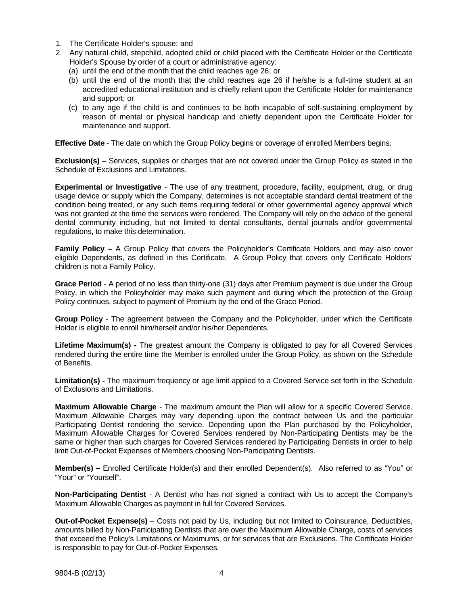- 1. The Certificate Holder's spouse; and
- 2. Any natural child, stepchild, adopted child or child placed with the Certificate Holder or the Certificate Holder's Spouse by order of a court or administrative agency:
	- (a) until the end of the month that the child reaches age 26; or
	- (b) until the end of the month that the child reaches age 26 if he/she is a full-time student at an accredited educational institution and is chiefly reliant upon the Certificate Holder for maintenance and support; or
	- (c) to any age if the child is and continues to be both incapable of self-sustaining employment by reason of mental or physical handicap and chiefly dependent upon the Certificate Holder for maintenance and support*.*

**Effective Date** - The date on which the Group Policy begins or coverage of enrolled Members begins.

**Exclusion(s)** – Services, supplies or charges that are not covered under the Group Policy as stated in the Schedule of Exclusions and Limitations.

**Experimental or Investigative** - The use of any treatment, procedure, facility, equipment, drug, or drug usage device or supply which the Company, determines is not acceptable standard dental treatment of the condition being treated, or any such items requiring federal or other governmental agency approval which was not granted at the time the services were rendered. The Company will rely on the advice of the general dental community including, but not limited to dental consultants, dental journals and/or governmental regulations, to make this determination.

**Family Policy –** A Group Policy that covers the Policyholder's Certificate Holders and may also cover eligible Dependents, as defined in this Certificate. A Group Policy that covers only Certificate Holders' children is not a Family Policy.

**Grace Period** - A period of no less than thirty-one (31) days after Premium payment is due under the Group Policy, in which the Policyholder may make such payment and during which the protection of the Group Policy continues, subject to payment of Premium by the end of the Grace Period.

**Group Policy** - The agreement between the Company and the Policyholder, under which the Certificate Holder is eligible to enroll him/herself and/or his/her Dependents.

**Lifetime Maximum(s) -** The greatest amount the Company is obligated to pay for all Covered Services rendered during the entire time the Member is enrolled under the Group Policy, as shown on the Schedule of Benefits.

**Limitation(s) -** The maximum frequency or age limit applied to a Covered Service set forth in the Schedule of Exclusions and Limitations.

**Maximum Allowable Charge** - The maximum amount the Plan will allow for a specific Covered Service. Maximum Allowable Charges may vary depending upon the contract between Us and the particular Participating Dentist rendering the service. Depending upon the Plan purchased by the Policyholder, Maximum Allowable Charges for Covered Services rendered by Non-Participating Dentists may be the same or higher than such charges for Covered Services rendered by Participating Dentists in order to help limit Out-of-Pocket Expenses of Members choosing Non-Participating Dentists.

**Member(s)** – Enrolled Certificate Holder(s) and their enrolled Dependent(s). Also referred to as "You" or "Your" or "Yourself".

**Non-Participating Dentist** - A Dentist who has not signed a contract with Us to accept the Company's Maximum Allowable Charges as payment in full for Covered Services.

**Out-of-Pocket Expense(s)** – Costs not paid by Us, including but not limited to Coinsurance, Deductibles, amounts billed by Non-Participating Dentists that are over the Maximum Allowable Charge, costs of services that exceed the Policy's Limitations or Maximums, or for services that are Exclusions. The Certificate Holder is responsible to pay for Out-of-Pocket Expenses.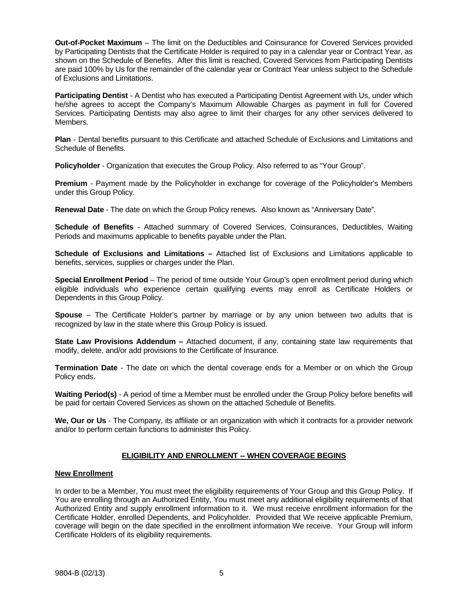**Out-of-Pocket Maximum** – The limit on the Deductibles and Coinsurance for Covered Services provided by Participating Dentists that the Certificate Holder is required to pay in a calendar year or Contract Year, as shown on the Schedule of Benefits. After this limit is reached, Covered Services from Participating Dentists are paid 100% by Us for the remainder of the calendar year or Contract Year unless subject to the Schedule of Exclusions and Limitations.

**Participating Dentist** - A Dentist who has executed a Participating Dentist Agreement with Us, under which he/she agrees to accept the Company's Maximum Allowable Charges as payment in full for Covered Services. Participating Dentists may also agree to limit their charges for any other services delivered to Members.

**Plan** - Dental benefits pursuant to this Certificate and attached Schedule of Exclusions and Limitations and Schedule of Benefits.

**Policyholder** - Organization that executes the Group Policy. Also referred to as "Your Group".

**Premium** - Payment made by the Policyholder in exchange for coverage of the Policyholder's Members under this Group Policy.

**Renewal Date** - The date on which the Group Policy renews. Also known as "Anniversary Date".

**Schedule of Benefits** - Attached summary of Covered Services, Coinsurances, Deductibles, Waiting Periods and maximums applicable to benefits payable under the Plan.

**Schedule of Exclusions and Limitations –** Attached list of Exclusions and Limitations applicable to benefits, services, supplies or charges under the Plan.

**Special Enrollment Period** – The period of time outside Your Group's open enrollment period during which eligible individuals who experience certain qualifying events may enroll as Certificate Holders or Dependents in this Group Policy.

**Spouse** – The Certificate Holder's partner by marriage or by any union between two adults that is recognized by law in the state where this Group Policy is issued.

**State Law Provisions Addendum –** Attached document, if any, containing state law requirements that modify, delete, and/or add provisions to the Certificate of Insurance.

**Termination Date** - The date on which the dental coverage ends for a Member or on which the Group Policy ends.

**Waiting Period(s)** - A period of time a Member must be enrolled under the Group Policy before benefits will be paid for certain Covered Services as shown on the attached Schedule of Benefits.

**We, Our or Us** - The Company, its affiliate or an organization with which it contracts for a provider network and/or to perform certain functions to administer this Policy.

#### **ELIGIBILITY AND ENROLLMENT -- WHEN COVERAGE BEGINS**

#### **New Enrollment**

In order to be a Member, You must meet the eligibility requirements of Your Group and this Group Policy. If You are enrolling through an Authorized Entity, You must meet any additional eligibility requirements of that Authorized Entity and supply enrollment information to it. We must receive enrollment information for the Certificate Holder, enrolled Dependents, and Policyholder. Provided that We receive applicable Premium, coverage will begin on the date specified in the enrollment information We receive. Your Group will inform Certificate Holders of its eligibility requirements.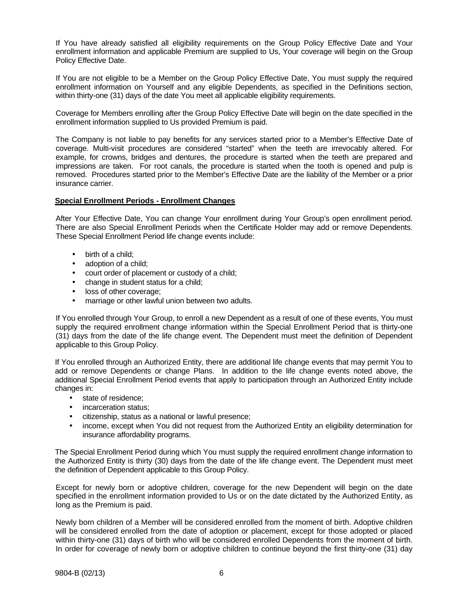If You have already satisfied all eligibility requirements on the Group Policy Effective Date and Your enrollment information and applicable Premium are supplied to Us, Your coverage will begin on the Group Policy Effective Date.

If You are not eligible to be a Member on the Group Policy Effective Date, You must supply the required enrollment information on Yourself and any eligible Dependents, as specified in the Definitions section, within thirty-one (31) days of the date You meet all applicable eligibility requirements.

Coverage for Members enrolling after the Group Policy Effective Date will begin on the date specified in the enrollment information supplied to Us provided Premium is paid.

The Company is not liable to pay benefits for any services started prior to a Member's Effective Date of coverage. Multi-visit procedures are considered "started" when the teeth are irrevocably altered. For example, for crowns, bridges and dentures, the procedure is started when the teeth are prepared and impressions are taken. For root canals, the procedure is started when the tooth is opened and pulp is removed. Procedures started prior to the Member's Effective Date are the liability of the Member or a prior insurance carrier.

#### **Special Enrollment Periods - Enrollment Changes**

After Your Effective Date, You can change Your enrollment during Your Group's open enrollment period. There are also Special Enrollment Periods when the Certificate Holder may add or remove Dependents. These Special Enrollment Period life change events include:

- birth of a child;
- adoption of a child;
- court order of placement or custody of a child;
- change in student status for a child;
- loss of other coverage;
- marriage or other lawful union between two adults.

If You enrolled through Your Group, to enroll a new Dependent as a result of one of these events, You must supply the required enrollment change information within the Special Enrollment Period that is thirty-one (31) days from the date of the life change event. The Dependent must meet the definition of Dependent applicable to this Group Policy.

If You enrolled through an Authorized Entity, there are additional life change events that may permit You to add or remove Dependents or change Plans. In addition to the life change events noted above, the additional Special Enrollment Period events that apply to participation through an Authorized Entity include changes in:

- state of residence:
- incarceration status;
- citizenship, status as a national or lawful presence;
- income, except when You did not request from the Authorized Entity an eligibility determination for insurance affordability programs.

The Special Enrollment Period during which You must supply the required enrollment change information to the Authorized Entity is thirty (30) days from the date of the life change event. The Dependent must meet the definition of Dependent applicable to this Group Policy.

Except for newly born or adoptive children, coverage for the new Dependent will begin on the date specified in the enrollment information provided to Us or on the date dictated by the Authorized Entity, as long as the Premium is paid.

Newly born children of a Member will be considered enrolled from the moment of birth. Adoptive children will be considered enrolled from the date of adoption or placement, except for those adopted or placed within thirty-one (31) days of birth who will be considered enrolled Dependents from the moment of birth. In order for coverage of newly born or adoptive children to continue beyond the first thirty-one (31) day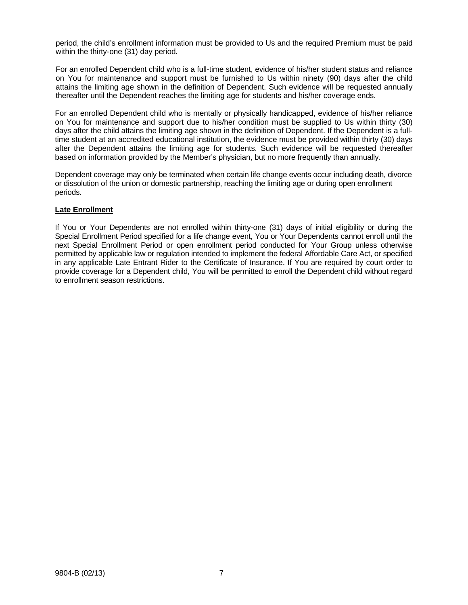period, the child's enrollment information must be provided to Us and the required Premium must be paid within the thirty-one (31) day period.

For an enrolled Dependent child who is a full-time student, evidence of his/her student status and reliance on You for maintenance and support must be furnished to Us within ninety (90) days after the child attains the limiting age shown in the definition of Dependent. Such evidence will be requested annually thereafter until the Dependent reaches the limiting age for students and his/her coverage ends.

For an enrolled Dependent child who is mentally or physically handicapped, evidence of his/her reliance on You for maintenance and support due to his/her condition must be supplied to Us within thirty (30) days after the child attains the limiting age shown in the definition of Dependent. If the Dependent is a fulltime student at an accredited educational institution, the evidence must be provided within thirty (30) days after the Dependent attains the limiting age for students. Such evidence will be requested thereafter based on information provided by the Member's physician, but no more frequently than annually.

Dependent coverage may only be terminated when certain life change events occur including death, divorce or dissolution of the union or domestic partnership, reaching the limiting age or during open enrollment periods.

#### **Late Enrollment**

If You or Your Dependents are not enrolled within thirty-one (31) days of initial eligibility or during the Special Enrollment Period specified for a life change event, You or Your Dependents cannot enroll until the next Special Enrollment Period or open enrollment period conducted for Your Group unless otherwise permitted by applicable law or regulation intended to implement the federal Affordable Care Act, or specified in any applicable Late Entrant Rider to the Certificate of Insurance. If You are required by court order to provide coverage for a Dependent child, You will be permitted to enroll the Dependent child without regard to enrollment season restrictions.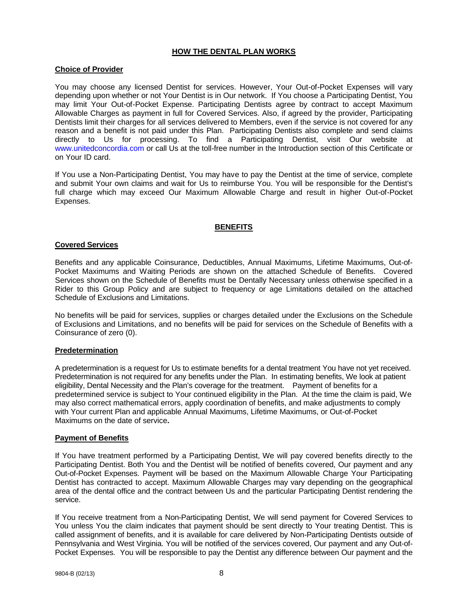#### **HOW THE DENTAL PLAN WORKS**

#### **Choice of Provider**

You may choose any licensed Dentist for services. However, Your Out-of-Pocket Expenses will vary depending upon whether or not Your Dentist is in Our network. If You choose a Participating Dentist, You may limit Your Out-of-Pocket Expense. Participating Dentists agree by contract to accept Maximum Allowable Charges as payment in full for Covered Services. Also, if agreed by the provider, Participating Dentists limit their charges for all services delivered to Members, even if the service is not covered for any reason and a benefit is not paid under this Plan. Participating Dentists also complete and send claims directly to Us for processing. To find a Participating Dentist, visit Our website at www.unitedconcordia.com or call Us at the toll-free number in the Introduction section of this Certificate or on Your ID card.

If You use a Non-Participating Dentist, You may have to pay the Dentist at the time of service, complete and submit Your own claims and wait for Us to reimburse You. You will be responsible for the Dentist's full charge which may exceed Our Maximum Allowable Charge and result in higher Out-of-Pocket Expenses.

#### **BENEFITS**

#### **Covered Services**

Benefits and any applicable Coinsurance, Deductibles, Annual Maximums, Lifetime Maximums, Out-of-Pocket Maximums and Waiting Periods are shown on the attached Schedule of Benefits. Covered Services shown on the Schedule of Benefits must be Dentally Necessary unless otherwise specified in a Rider to this Group Policy and are subject to frequency or age Limitations detailed on the attached Schedule of Exclusions and Limitations.

No benefits will be paid for services, supplies or charges detailed under the Exclusions on the Schedule of Exclusions and Limitations, and no benefits will be paid for services on the Schedule of Benefits with a Coinsurance of zero (0).

#### **Predetermination**

A predetermination is a request for Us to estimate benefits for a dental treatment You have not yet received. Predetermination is not required for any benefits under the Plan. In estimating benefits, We look at patient eligibility, Dental Necessity and the Plan's coverage for the treatment. Payment of benefits for a predetermined service is subject to Your continued eligibility in the Plan. At the time the claim is paid, We may also correct mathematical errors, apply coordination of benefits, and make adjustments to comply with Your current Plan and applicable Annual Maximums, Lifetime Maximums, or Out-of-Pocket Maximums on the date of service**.**

#### **Payment of Benefits**

If You have treatment performed by a Participating Dentist, We will pay covered benefits directly to the Participating Dentist. Both You and the Dentist will be notified of benefits covered, Our payment and any Out-of-Pocket Expenses. Payment will be based on the Maximum Allowable Charge Your Participating Dentist has contracted to accept. Maximum Allowable Charges may vary depending on the geographical area of the dental office and the contract between Us and the particular Participating Dentist rendering the service.

If You receive treatment from a Non-Participating Dentist, We will send payment for Covered Services to You unless You the claim indicates that payment should be sent directly to Your treating Dentist. This is called assignment of benefits, and it is available for care delivered by Non-Participating Dentists outside of Pennsylvania and West Virginia. You will be notified of the services covered, Our payment and any Out-of-Pocket Expenses. You will be responsible to pay the Dentist any difference between Our payment and the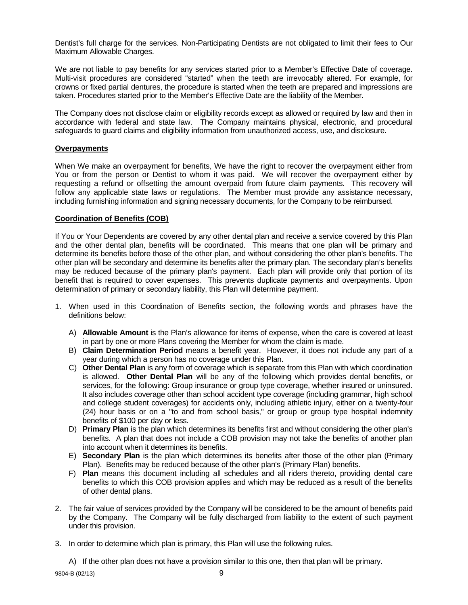Dentist's full charge for the services. Non-Participating Dentists are not obligated to limit their fees to Our Maximum Allowable Charges.

We are not liable to pay benefits for any services started prior to a Member's Effective Date of coverage. Multi-visit procedures are considered "started" when the teeth are irrevocably altered. For example, for crowns or fixed partial dentures, the procedure is started when the teeth are prepared and impressions are taken. Procedures started prior to the Member's Effective Date are the liability of the Member.

The Company does not disclose claim or eligibility records except as allowed or required by law and then in accordance with federal and state law. The Company maintains physical, electronic, and procedural safeguards to guard claims and eligibility information from unauthorized access, use, and disclosure.

#### **Overpayments**

When We make an overpayment for benefits, We have the right to recover the overpayment either from You or from the person or Dentist to whom it was paid. We will recover the overpayment either by requesting a refund or offsetting the amount overpaid from future claim payments. This recovery will follow any applicable state laws or regulations. The Member must provide any assistance necessary, including furnishing information and signing necessary documents, for the Company to be reimbursed.

#### **Coordination of Benefits (COB)**

If You or Your Dependents are covered by any other dental plan and receive a service covered by this Plan and the other dental plan, benefits will be coordinated. This means that one plan will be primary and determine its benefits before those of the other plan, and without considering the other plan's benefits. The other plan will be secondary and determine its benefits after the primary plan. The secondary plan's benefits may be reduced because of the primary plan's payment. Each plan will provide only that portion of its benefit that is required to cover expenses. This prevents duplicate payments and overpayments. Upon determination of primary or secondary liability, this Plan will determine payment.

- 1. When used in this Coordination of Benefits section, the following words and phrases have the definitions below:
	- A) **Allowable Amount** is the Plan's allowance for items of expense, when the care is covered at least in part by one or more Plans covering the Member for whom the claim is made.
	- B) **Claim Determination Period** means a benefit year. However, it does not include any part of a year during which a person has no coverage under this Plan.
	- C) **Other Dental Plan** is any form of coverage which is separate from this Plan with which coordination is allowed. **Other Dental Plan** will be any of the following which provides dental benefits, or services, for the following: Group insurance or group type coverage, whether insured or uninsured. It also includes coverage other than school accident type coverage (including grammar, high school and college student coverages) for accidents only, including athletic injury, either on a twenty-four (24) hour basis or on a "to and from school basis," or group or group type hospital indemnity benefits of \$100 per day or less.
	- D) **Primary Plan** is the plan which determines its benefits first and without considering the other plan's benefits. A plan that does not include a COB provision may not take the benefits of another plan into account when it determines its benefits.
	- E) **Secondary Plan** is the plan which determines its benefits after those of the other plan (Primary Plan). Benefits may be reduced because of the other plan's (Primary Plan) benefits.
	- F) **Plan** means this document including all schedules and all riders thereto, providing dental care benefits to which this COB provision applies and which may be reduced as a result of the benefits of other dental plans.
- 2. The fair value of services provided by the Company will be considered to be the amount of benefits paid by the Company. The Company will be fully discharged from liability to the extent of such payment under this provision.
- 3. In order to determine which plan is primary, this Plan will use the following rules.

A) If the other plan does not have a provision similar to this one, then that plan will be primary.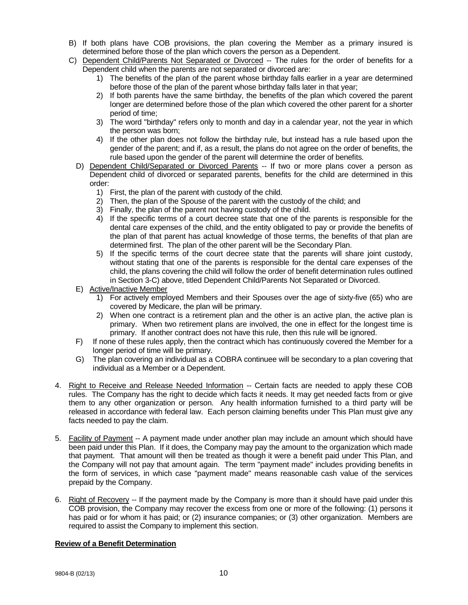- B) If both plans have COB provisions, the plan covering the Member as a primary insured is determined before those of the plan which covers the person as a Dependent.
- C) Dependent Child/Parents Not Separated or Divorced -- The rules for the order of benefits for a Dependent child when the parents are not separated or divorced are:
	- 1) The benefits of the plan of the parent whose birthday falls earlier in a year are determined before those of the plan of the parent whose birthday falls later in that year;
	- 2) If both parents have the same birthday, the benefits of the plan which covered the parent longer are determined before those of the plan which covered the other parent for a shorter period of time;
	- 3) The word "birthday" refers only to month and day in a calendar year, not the year in which the person was born;
	- 4) If the other plan does not follow the birthday rule, but instead has a rule based upon the gender of the parent; and if, as a result, the plans do not agree on the order of benefits, the rule based upon the gender of the parent will determine the order of benefits.
	- D) Dependent Child/Separated or Divorced Parents -- If two or more plans cover a person as Dependent child of divorced or separated parents, benefits for the child are determined in this order:
		- 1) First, the plan of the parent with custody of the child.
		- 2) Then, the plan of the Spouse of the parent with the custody of the child; and
		- 3) Finally, the plan of the parent not having custody of the child.
		- 4) If the specific terms of a court decree state that one of the parents is responsible for the dental care expenses of the child, and the entity obligated to pay or provide the benefits of the plan of that parent has actual knowledge of those terms, the benefits of that plan are determined first. The plan of the other parent will be the Secondary Plan.
		- 5) If the specific terms of the court decree state that the parents will share joint custody, without stating that one of the parents is responsible for the dental care expenses of the child, the plans covering the child will follow the order of benefit determination rules outlined in Section 3-C) above, titled Dependent Child/Parents Not Separated or Divorced.
	- E) Active/Inactive Member
		- 1) For actively employed Members and their Spouses over the age of sixty-five (65) who are covered by Medicare, the plan will be primary.
		- 2) When one contract is a retirement plan and the other is an active plan, the active plan is primary. When two retirement plans are involved, the one in effect for the longest time is primary. If another contract does not have this rule, then this rule will be ignored.
	- F) If none of these rules apply, then the contract which has continuously covered the Member for a longer period of time will be primary.
	- G) The plan covering an individual as a COBRA continuee will be secondary to a plan covering that individual as a Member or a Dependent.
- 4. Right to Receive and Release Needed Information -- Certain facts are needed to apply these COB rules. The Company has the right to decide which facts it needs. It may get needed facts from or give them to any other organization or person. Any health information furnished to a third party will be released in accordance with federal law. Each person claiming benefits under This Plan must give any facts needed to pay the claim.
- 5. Facility of Payment -- A payment made under another plan may include an amount which should have been paid under this Plan. If it does, the Company may pay the amount to the organization which made that payment. That amount will then be treated as though it were a benefit paid under This Plan, and the Company will not pay that amount again. The term "payment made" includes providing benefits in the form of services, in which case "payment made" means reasonable cash value of the services prepaid by the Company.
- 6. Right of Recovery -- If the payment made by the Company is more than it should have paid under this COB provision, the Company may recover the excess from one or more of the following: (1) persons it has paid or for whom it has paid; or (2) insurance companies; or (3) other organization. Members are required to assist the Company to implement this section.

#### **Review of a Benefit Determination**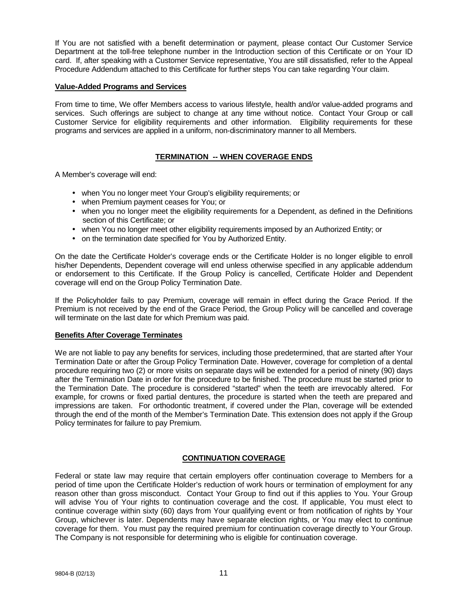If You are not satisfied with a benefit determination or payment, please contact Our Customer Service Department at the toll-free telephone number in the Introduction section of this Certificate or on Your ID card. If, after speaking with a Customer Service representative, You are still dissatisfied, refer to the Appeal Procedure Addendum attached to this Certificate for further steps You can take regarding Your claim.

#### **Value-Added Programs and Services**

From time to time, We offer Members access to various lifestyle, health and/or value-added programs and services. Such offerings are subject to change at any time without notice. Contact Your Group or call Customer Service for eligibility requirements and other information. Eligibility requirements for these programs and services are applied in a uniform, non-discriminatory manner to all Members.

#### **TERMINATION -- WHEN COVERAGE ENDS**

A Member's coverage will end:

- when You no longer meet Your Group's eligibility requirements; or
- when Premium payment ceases for You; or
- when you no longer meet the eligibility requirements for a Dependent, as defined in the Definitions section of this Certificate; or
- when You no longer meet other eligibility requirements imposed by an Authorized Entity; or
- on the termination date specified for You by Authorized Entity.

On the date the Certificate Holder's coverage ends or the Certificate Holder is no longer eligible to enroll his/her Dependents, Dependent coverage will end unless otherwise specified in any applicable addendum or endorsement to this Certificate. If the Group Policy is cancelled, Certificate Holder and Dependent coverage will end on the Group Policy Termination Date.

If the Policyholder fails to pay Premium, coverage will remain in effect during the Grace Period. If the Premium is not received by the end of the Grace Period, the Group Policy will be cancelled and coverage will terminate on the last date for which Premium was paid.

#### **Benefits After Coverage Terminates**

We are not liable to pay any benefits for services, including those predetermined, that are started after Your Termination Date or after the Group Policy Termination Date. However, coverage for completion of a dental procedure requiring two (2) or more visits on separate days will be extended for a period of ninety (90) days after the Termination Date in order for the procedure to be finished. The procedure must be started prior to the Termination Date. The procedure is considered "started" when the teeth are irrevocably altered. For example, for crowns or fixed partial dentures, the procedure is started when the teeth are prepared and impressions are taken. For orthodontic treatment, if covered under the Plan, coverage will be extended through the end of the month of the Member's Termination Date. This extension does not apply if the Group Policy terminates for failure to pay Premium.

#### **CONTINUATION COVERAGE**

Federal or state law may require that certain employers offer continuation coverage to Members for a period of time upon the Certificate Holder's reduction of work hours or termination of employment for any reason other than gross misconduct. Contact Your Group to find out if this applies to You. Your Group will advise You of Your rights to continuation coverage and the cost. If applicable, You must elect to continue coverage within sixty (60) days from Your qualifying event or from notification of rights by Your Group, whichever is later. Dependents may have separate election rights, or You may elect to continue coverage for them. You must pay the required premium for continuation coverage directly to Your Group. The Company is not responsible for determining who is eligible for continuation coverage.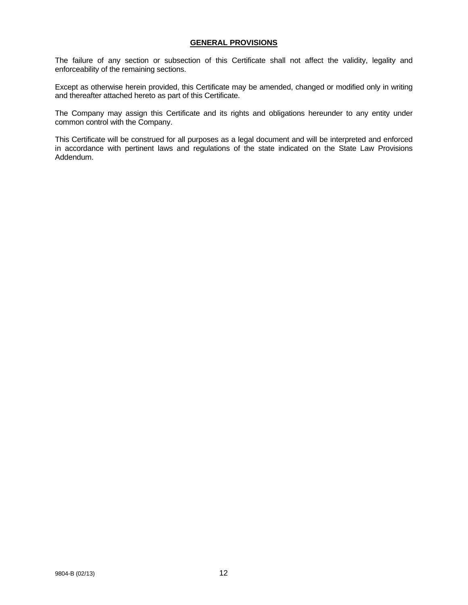#### **GENERAL PROVISIONS**

The failure of any section or subsection of this Certificate shall not affect the validity, legality and enforceability of the remaining sections.

Except as otherwise herein provided, this Certificate may be amended, changed or modified only in writing and thereafter attached hereto as part of this Certificate.

The Company may assign this Certificate and its rights and obligations hereunder to any entity under common control with the Company.

This Certificate will be construed for all purposes as a legal document and will be interpreted and enforced in accordance with pertinent laws and regulations of the state indicated on the State Law Provisions Addendum.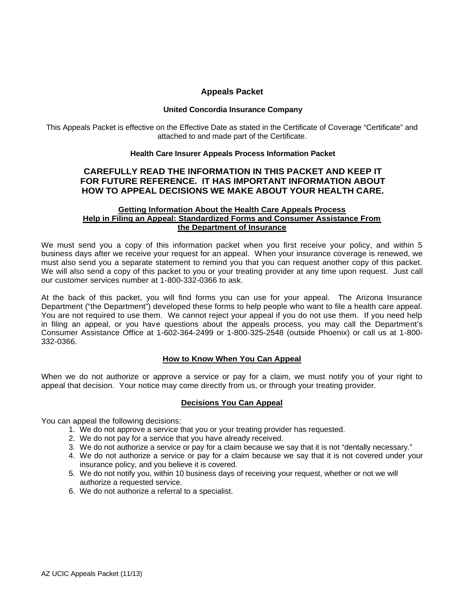#### **Appeals Packet**

#### **United Concordia Insurance Company**

This Appeals Packet is effective on the Effective Date as stated in the Certificate of Coverage "Certificate" and attached to and made part of the Certificate.

#### **Health Care Insurer Appeals Process Information Packet**

#### **CAREFULLY READ THE INFORMATION IN THIS PACKET AND KEEP IT FOR FUTURE REFERENCE. IT HAS IMPORTANT INFORMATION ABOUT HOW TO APPEAL DECISIONS WE MAKE ABOUT YOUR HEALTH CARE.**

#### **Getting Information About the Health Care Appeals Process Help in Filing an Appeal: Standardized Forms and Consumer Assistance From the Department of Insurance**

We must send you a copy of this information packet when you first receive your policy, and within 5 business days after we receive your request for an appeal. When your insurance coverage is renewed, we must also send you a separate statement to remind you that you can request another copy of this packet. We will also send a copy of this packet to you or your treating provider at any time upon request. Just call our customer services number at 1-800-332-0366 to ask.

At the back of this packet, you will find forms you can use for your appeal. The Arizona Insurance Department ("the Department") developed these forms to help people who want to file a health care appeal. You are not required to use them. We cannot reject your appeal if you do not use them. If you need help in filing an appeal, or you have questions about the appeals process, you may call the Department's Consumer Assistance Office at 1-602-364-2499 or 1-800-325-2548 (outside Phoenix) or call us at 1-800- 332-0366.

#### **How to Know When You Can Appeal**

When we do not authorize or approve a service or pay for a claim, we must notify you of your right to appeal that decision. Your notice may come directly from us, or through your treating provider.

#### **Decisions You Can Appeal**

You can appeal the following decisions:

- 1. We do not approve a service that you or your treating provider has requested.
- 2. We do not pay for a service that you have already received.
- 3. We do not authorize a service or pay for a claim because we say that it is not "dentally necessary."
- 4. We do not authorize a service or pay for a claim because we say that it is not covered under your insurance policy, and you believe it is covered.
- 5. We do not notify you, within 10 business days of receiving your request, whether or not we will authorize a requested service.
- 6. We do not authorize a referral to a specialist.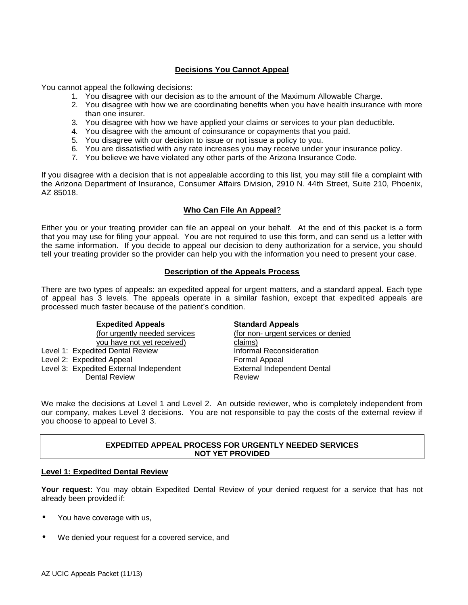### **Decisions You Cannot Appeal**

You cannot appeal the following decisions:

- 1. You disagree with our decision as to the amount of the Maximum Allowable Charge.
- 2. You disagree with how we are coordinating benefits when you have health insurance with more than one insurer.
- 3. You disagree with how we have applied your claims or services to your plan deductible.
- 4. You disagree with the amount of coinsurance or copayments that you paid.
- 5. You disagree with our decision to issue or not issue a policy to you.
- 6. You are dissatisfied with any rate increases you may receive under your insurance policy.
- 7. You believe we have violated any other parts of the Arizona Insurance Code.

If you disagree with a decision that is not appealable according to this list, you may still file a complaint with the Arizona Department of Insurance, Consumer Affairs Division, 2910 N. 44th Street, Suite 210, Phoenix, AZ 85018.

#### **Who Can File An Appeal**?

Either you or your treating provider can file an appeal on your behalf. At the end of this packet is a form that you may use for filing your appeal. You are not required to use this form, and can send us a letter with the same information. If you decide to appeal our decision to deny authorization for a service, you should tell your treating provider so the provider can help you with the information you need to present your case.

#### **Description of the Appeals Process**

There are two types of appeals: an expedited appeal for urgent matters, and a standard appeal. Each type of appeal has 3 levels. The appeals operate in a similar fashion, except that expedited appeals are processed much faster because of the patient's condition.

#### **Expedited Appeals Standard Appeals**

you have not yet received) claims) Level 1: Expedited Dental Review **Informal Reconsideration**<br>
Level 2: Expedited Appeal **Informal Appeal** Formal Appeal Level 2: Expedited Appeal Level 3: Expedited External Independent **External Independent Dental** Dental Review **Review** Review

(for urgently needed services (for non- urgent services or denied

We make the decisions at Level 1 and Level 2. An outside reviewer, who is completely independent from our company, makes Level 3 decisions. You are not responsible to pay the costs of the external review if you choose to appeal to Level 3.

#### **EXPEDITED APPEAL PROCESS FOR URGENTLY NEEDED SERVICES NOT YET PROVIDED**

#### **Level 1: Expedited Dental Review**

**Your request:** You may obtain Expedited Dental Review of your denied request for a service that has not already been provided if:

- You have coverage with us,
- We denied your request for a covered service, and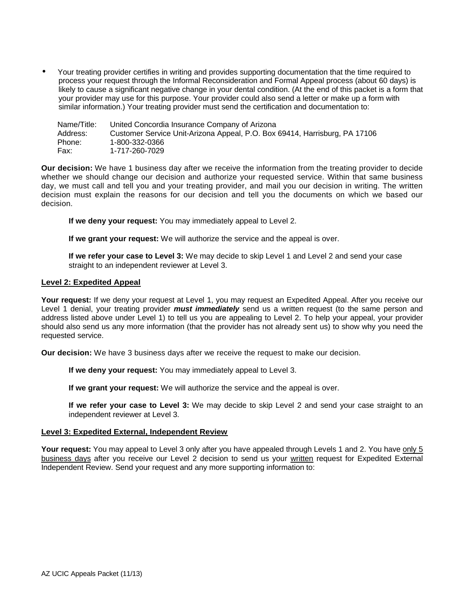• Your treating provider certifies in writing and provides supporting documentation that the time required to process your request through the Informal Reconsideration and Formal Appeal process (about 60 days) is likely to cause a significant negative change in your dental condition. (At the end of this packet is a form that your provider may use for this purpose. Your provider could also send a letter or make up a form with similar information.) Your treating provider must send the certification and documentation to:

Name/Title: United Concordia Insurance Company of Arizona Address: Customer Service Unit-Arizona Appeal, P.O. Box 69414, Harrisburg, PA 17106<br>Phone: 1-800-332-0366 Phone: 1-800-332-0366 Fax: 1-717-260-7029

**Our decision:** We have 1 business day after we receive the information from the treating provider to decide whether we should change our decision and authorize your requested service. Within that same business day, we must call and tell you and your treating provider, and mail you our decision in writing. The written decision must explain the reasons for our decision and tell you the documents on which we based our decision.

**If we deny your request:** You may immediately appeal to Level 2.

**If we grant your request:** We will authorize the service and the appeal is over.

**If we refer your case to Level 3:** We may decide to skip Level 1 and Level 2 and send your case straight to an independent reviewer at Level 3.

#### **Level 2: Expedited Appeal**

Your request: If we deny your request at Level 1, you may request an Expedited Appeal. After you receive our Level 1 denial, your treating provider *must immediately* send us a written request (to the same person and address listed above under Level 1) to tell us you are appealing to Level 2. To help your appeal, your provider should also send us any more information (that the provider has not already sent us) to show why you need the requested service.

**Our decision:** We have 3 business days after we receive the request to make our decision.

**If we deny your request:** You may immediately appeal to Level 3.

**If we grant your request:** We will authorize the service and the appeal is over.

**If we refer your case to Level 3:** We may decide to skip Level 2 and send your case straight to an independent reviewer at Level 3.

#### **Level 3: Expedited External, Independent Review**

**Your request:** You may appeal to Level 3 only after you have appealed through Levels 1 and 2. You have only 5 business days after you receive our Level 2 decision to send us your written request for Expedited External Independent Review. Send your request and any more supporting information to: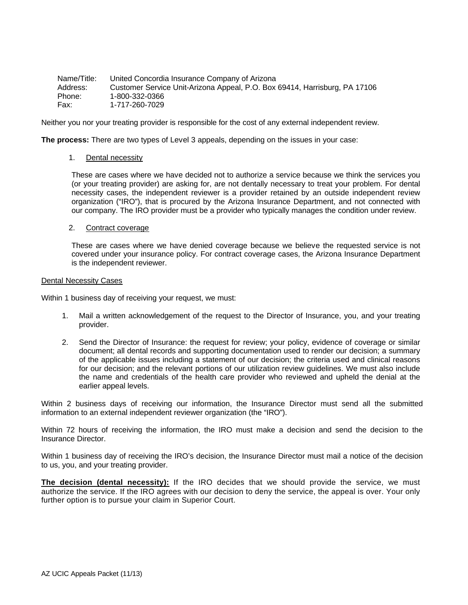| Name/Title: | United Concordia Insurance Company of Arizona                              |
|-------------|----------------------------------------------------------------------------|
| Address:    | Customer Service Unit-Arizona Appeal, P.O. Box 69414, Harrisburg, PA 17106 |
| Phone:      | 1-800-332-0366                                                             |
| Fax:        | 1-717-260-7029                                                             |

Neither you nor your treating provider is responsible for the cost of any external independent review.

**The process:** There are two types of Level 3 appeals, depending on the issues in your case:

#### 1. Dental necessity

These are cases where we have decided not to authorize a service because we think the services you (or your treating provider) are asking for, are not dentally necessary to treat your problem. For dental necessity cases, the independent reviewer is a provider retained by an outside independent review organization ("IRO"), that is procured by the Arizona Insurance Department, and not connected with our company. The IRO provider must be a provider who typically manages the condition under review.

#### 2. Contract coverage

These are cases where we have denied coverage because we believe the requested service is not covered under your insurance policy. For contract coverage cases, the Arizona Insurance Department is the independent reviewer.

#### Dental Necessity Cases

Within 1 business day of receiving your request, we must:

- 1. Mail a written acknowledgement of the request to the Director of Insurance, you, and your treating provider.
- 2. Send the Director of Insurance: the request for review; your policy, evidence of coverage or similar document; all dental records and supporting documentation used to render our decision; a summary of the applicable issues including a statement of our decision; the criteria used and clinical reasons for our decision; and the relevant portions of our utilization review guidelines. We must also include the name and credentials of the health care provider who reviewed and upheld the denial at the earlier appeal levels.

Within 2 business days of receiving our information, the Insurance Director must send all the submitted information to an external independent reviewer organization (the "IRO").

Within 72 hours of receiving the information, the IRO must make a decision and send the decision to the Insurance Director.

Within 1 business day of receiving the IRO's decision, the Insurance Director must mail a notice of the decision to us, you, and your treating provider.

**The decision (dental necessity):** If the IRO decides that we should provide the service, we must authorize the service. If the IRO agrees with our decision to deny the service, the appeal is over. Your only further option is to pursue your claim in Superior Court.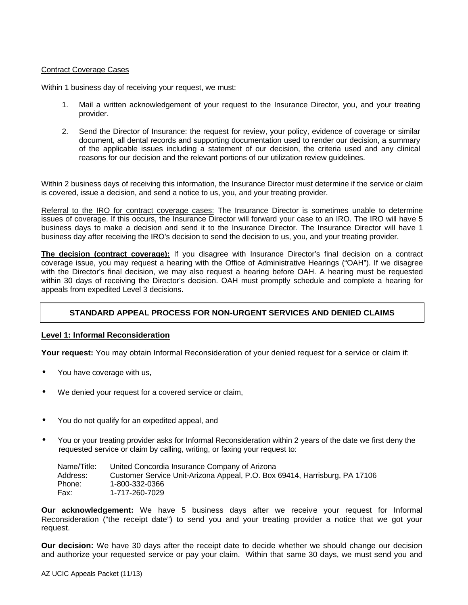#### Contract Coverage Cases

Within 1 business day of receiving your request, we must:

- 1. Mail a written acknowledgement of your request to the Insurance Director, you, and your treating provider.
- 2. Send the Director of Insurance: the request for review, your policy, evidence of coverage or similar document, all dental records and supporting documentation used to render our decision, a summary of the applicable issues including a statement of our decision, the criteria used and any clinical reasons for our decision and the relevant portions of our utilization review guidelines.

Within 2 business days of receiving this information, the Insurance Director must determine if the service or claim is covered, issue a decision, and send a notice to us, you, and your treating provider.

Referral to the IRO for contract coverage cases: The Insurance Director is sometimes unable to determine issues of coverage. If this occurs, the Insurance Director will forward your case to an IRO. The IRO will have 5 business days to make a decision and send it to the Insurance Director. The Insurance Director will have 1 business day after receiving the IRO's decision to send the decision to us, you, and your treating provider.

**The decision (contract coverage):** If you disagree with Insurance Director's final decision on a contract coverage issue, you may request a hearing with the Office of Administrative Hearings ("OAH"). If we disagree with the Director's final decision, we may also request a hearing before OAH. A hearing must be requested within 30 days of receiving the Director's decision. OAH must promptly schedule and complete a hearing for appeals from expedited Level 3 decisions.

#### **STANDARD APPEAL PROCESS FOR NON-URGENT SERVICES AND DENIED CLAIMS**

#### **Level 1: Informal Reconsideration**

**Your request:** You may obtain Informal Reconsideration of your denied request for a service or claim if:

- You have coverage with us,
- We denied your request for a covered service or claim,
- You do not qualify for an expedited appeal, and
- You or your treating provider asks for Informal Reconsideration within 2 years of the date we first deny the requested service or claim by calling, writing, or faxing your request to:

| Name/Title: | United Concordia Insurance Company of Arizona                              |
|-------------|----------------------------------------------------------------------------|
| Address:    | Customer Service Unit-Arizona Appeal, P.O. Box 69414, Harrisburg, PA 17106 |
| Phone:      | 1-800-332-0366                                                             |
| Fax:        | 1-717-260-7029                                                             |

**Our acknowledgement:** We have 5 business days after we receive your request for Informal Reconsideration ("the receipt date") to send you and your treating provider a notice that we got your request.

**Our decision:** We have 30 days after the receipt date to decide whether we should change our decision and authorize your requested service or pay your claim. Within that same 30 days, we must send you and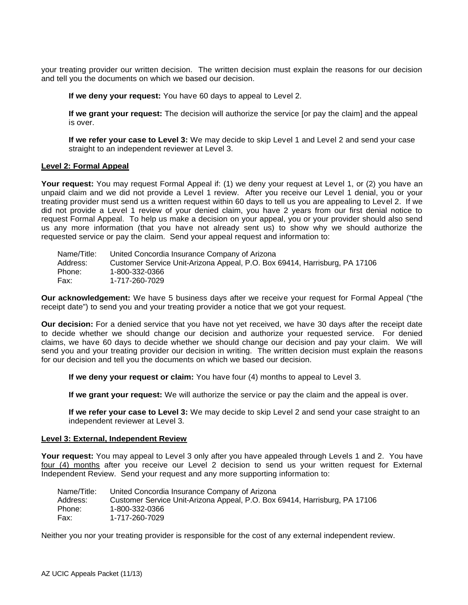your treating provider our written decision. The written decision must explain the reasons for our decision and tell you the documents on which we based our decision.

**If we deny your request:** You have 60 days to appeal to Level 2.

**If we grant your request:** The decision will authorize the service [or pay the claim] and the appeal is over.

**If we refer your case to Level 3:** We may decide to skip Level 1 and Level 2 and send your case straight to an independent reviewer at Level 3.

#### **Level 2: Formal Appeal**

Your request: You may request Formal Appeal if: (1) we deny your request at Level 1, or (2) you have an unpaid claim and we did not provide a Level 1 review. After you receive our Level 1 denial, you or your treating provider must send us a written request within 60 days to tell us you are appealing to Level 2. If we did not provide a Level 1 review of your denied claim, you have 2 years from our first denial notice to request Formal Appeal. To help us make a decision on your appeal, you or your provider should also send us any more information (that you have not already sent us) to show why we should authorize the requested service or pay the claim. Send your appeal request and information to:

| Name/Title: | United Concordia Insurance Company of Arizona                              |
|-------------|----------------------------------------------------------------------------|
| Address:    | Customer Service Unit-Arizona Appeal, P.O. Box 69414, Harrisburg, PA 17106 |
| Phone:      | 1-800-332-0366                                                             |
| Fax:        | 1-717-260-7029                                                             |

**Our acknowledgement:** We have 5 business days after we receive your request for Formal Appeal ("the receipt date") to send you and your treating provider a notice that we got your request.

**Our decision:** For a denied service that you have not yet received, we have 30 days after the receipt date to decide whether we should change our decision and authorize your requested service. For denied claims, we have 60 days to decide whether we should change our decision and pay your claim. We will send you and your treating provider our decision in writing. The written decision must explain the reasons for our decision and tell you the documents on which we based our decision.

**If we deny your request or claim:** You have four (4) months to appeal to Level 3.

**If we grant your request:** We will authorize the service or pay the claim and the appeal is over.

**If we refer your case to Level 3:** We may decide to skip Level 2 and send your case straight to an independent reviewer at Level 3.

#### **Level 3: External, Independent Review**

**Your request:** You may appeal to Level 3 only after you have appealed through Levels 1 and 2. You have four (4) months after you receive our Level 2 decision to send us your written request for External Independent Review. Send your request and any more supporting information to:

| Name/Title: | United Concordia Insurance Company of Arizona                              |
|-------------|----------------------------------------------------------------------------|
| Address:    | Customer Service Unit-Arizona Appeal, P.O. Box 69414, Harrisburg, PA 17106 |
| Phone:      | 1-800-332-0366                                                             |
| Fax:        | 1-717-260-7029                                                             |

Neither you nor your treating provider is responsible for the cost of any external independent review.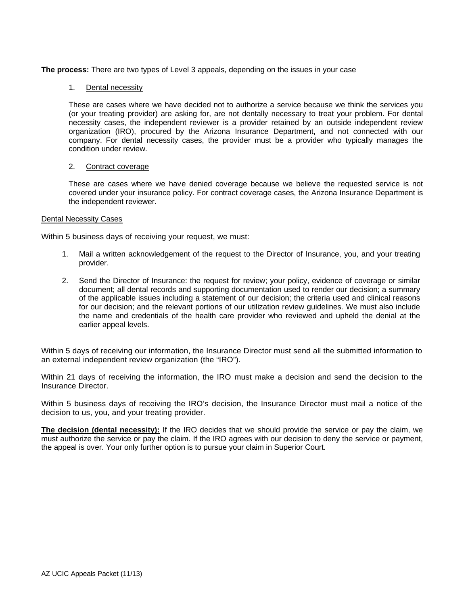**The process:** There are two types of Level 3 appeals, depending on the issues in your case

#### 1. Dental necessity

These are cases where we have decided not to authorize a service because we think the services you (or your treating provider) are asking for, are not dentally necessary to treat your problem. For dental necessity cases, the independent reviewer is a provider retained by an outside independent review organization (IRO), procured by the Arizona Insurance Department, and not connected with our company. For dental necessity cases, the provider must be a provider who typically manages the condition under review.

#### 2. Contract coverage

These are cases where we have denied coverage because we believe the requested service is not covered under your insurance policy. For contract coverage cases, the Arizona Insurance Department is the independent reviewer.

#### Dental Necessity Cases

Within 5 business days of receiving your request, we must:

- 1. Mail a written acknowledgement of the request to the Director of Insurance, you, and your treating provider.
- 2. Send the Director of Insurance: the request for review; your policy, evidence of coverage or similar document; all dental records and supporting documentation used to render our decision; a summary of the applicable issues including a statement of our decision; the criteria used and clinical reasons for our decision; and the relevant portions of our utilization review guidelines. We must also include the name and credentials of the health care provider who reviewed and upheld the denial at the earlier appeal levels.

Within 5 days of receiving our information, the Insurance Director must send all the submitted information to an external independent review organization (the "IRO").

Within 21 days of receiving the information, the IRO must make a decision and send the decision to the Insurance Director.

Within 5 business days of receiving the IRO's decision, the Insurance Director must mail a notice of the decision to us, you, and your treating provider.

**The decision (dental necessity):** If the IRO decides that we should provide the service or pay the claim, we must authorize the service or pay the claim. If the IRO agrees with our decision to deny the service or payment, the appeal is over. Your only further option is to pursue your claim in Superior Court.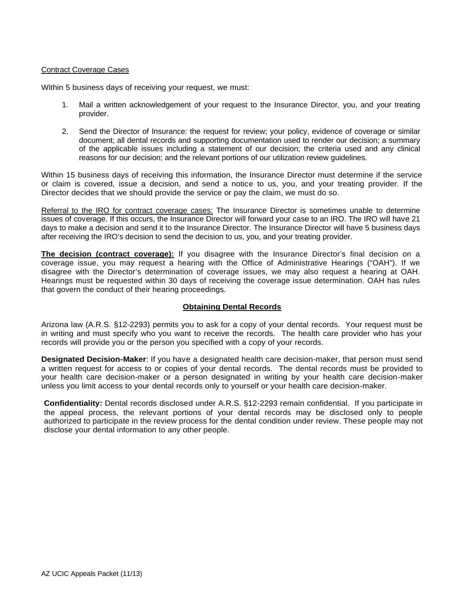#### Contract Coverage Cases

Within 5 business days of receiving your request, we must:

- 1. Mail a written acknowledgement of your request to the Insurance Director, you, and your treating provider.
- 2. Send the Director of Insurance: the request for review; your policy, evidence of coverage or similar document; all dental records and supporting documentation used to render our decision; a summary of the applicable issues including a statement of our decision; the criteria used and any clinical reasons for our decision; and the relevant portions of our utilization review guidelines.

Within 15 business days of receiving this information, the Insurance Director must determine if the service or claim is covered, issue a decision, and send a notice to us, you, and your treating provider. If the Director decides that we should provide the service or pay the claim, we must do so.

Referral to the IRO for contract coverage cases: The Insurance Director is sometimes unable to determine issues of coverage. If this occurs, the Insurance Director will forward your case to an IRO. The IRO will have 21 days to make a decision and send it to the Insurance Director. The Insurance Director will have 5 business days after receiving the IRO's decision to send the decision to us, you, and your treating provider.

**The decision (contract coverage):** If you disagree with the Insurance Director's final decision on a coverage issue, you may request a hearing with the Office of Administrative Hearings ("OAH"). If we disagree with the Director's determination of coverage issues, we may also request a hearing at OAH. Hearings must be requested within 30 days of receiving the coverage issue determination. OAH has rules that govern the conduct of their hearing proceedings.

#### **Obtaining Dental Records**

Arizona law (A.R.S. §12-2293) permits you to ask for a copy of your dental records. Your request must be in writing and must specify who you want to receive the records. The health care provider who has your records will provide you or the person you specified with a copy of your records.

**Designated Decision-Maker**: If you have a designated health care decision-maker, that person must send a written request for access to or copies of your dental records. The dental records must be provided to your health care decision-maker or a person designated in writing by your health care decision-maker unless you limit access to your dental records only to yourself or your health care decision-maker.

**Confidentiality:** Dental records disclosed under A.R.S. §12-2293 remain confidential. If you participate in the appeal process, the relevant portions of your dental records may be disclosed only to people authorized to participate in the review process for the dental condition under review. These people may not disclose your dental information to any other people.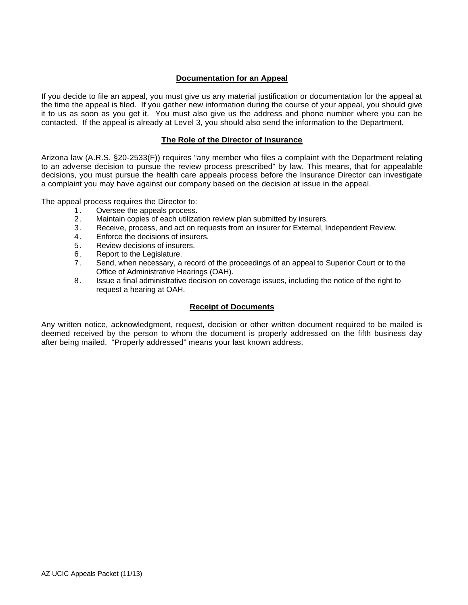### **Documentation for an Appeal**

If you decide to file an appeal, you must give us any material justification or documentation for the appeal at the time the appeal is filed. If you gather new information during the course of your appeal, you should give it to us as soon as you get it. You must also give us the address and phone number where you can be contacted. If the appeal is already at Level 3, you should also send the information to the Department.

#### **The Role of the Director of Insurance**

Arizona law (A.R.S. §20-2533(F)) requires "any member who files a complaint with the Department relating to an adverse decision to pursue the review process prescribed" by law. This means, that for appealable decisions, you must pursue the health care appeals process before the Insurance Director can investigate a complaint you may have against our company based on the decision at issue in the appeal.

The appeal process requires the Director to:

- 1. Oversee the appeals process.
- 2. Maintain copies of each utilization review plan submitted by insurers.
- 3. Receive, process, and act on requests from an insurer for External, Independent Review.
- 4. Enforce the decisions of insurers.<br>5. Review decisions of insurers.
- Review decisions of insurers.
- 6. Report to the Legislature.
- 7. Send, when necessary, a record of the proceedings of an appeal to Superior Court or to the Office of Administrative Hearings (OAH).
- 8. Issue a final administrative decision on coverage issues, including the notice of the right to request a hearing at OAH.

#### **Receipt of Documents**

Any written notice, acknowledgment, request, decision or other written document required to be mailed is deemed received by the person to whom the document is properly addressed on the fifth business day after being mailed. "Properly addressed" means your last known address.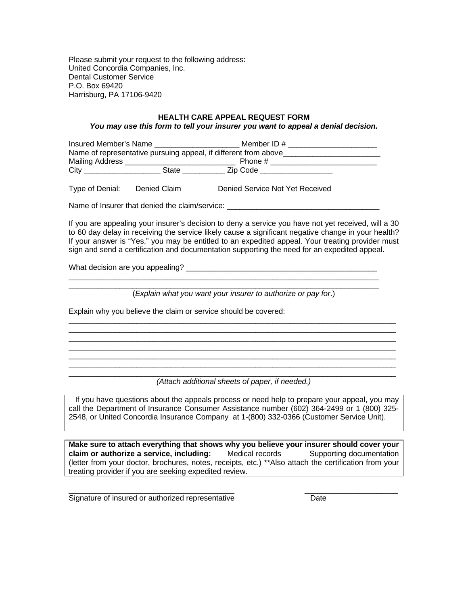Please submit your request to the following address: United Concordia Companies, Inc. Dental Customer Service P.O. Box 69420 Harrisburg, PA 17106-9420

#### **HEALTH CARE APPEAL REQUEST FORM** *You may use this form to tell your insurer you want to appeal a denial decision.*

| Insured Member's Name                                           |       | Member ID $#$ |  |
|-----------------------------------------------------------------|-------|---------------|--|
| Name of representative pursuing appeal, if different from above |       |               |  |
| Mailing Address                                                 |       | Phone #       |  |
| City                                                            | State | Zip Code      |  |

Type of Denial: Denied Claim Denied Service Not Yet Received

Name of Insurer that denied the claim/service: \_\_\_\_\_\_\_\_\_\_\_\_\_\_\_\_\_\_\_\_\_\_\_\_\_\_\_\_\_\_\_\_\_

If you are appealing your insurer's decision to deny a service you have not yet received, will a 30 to 60 day delay in receiving the service likely cause a significant negative change in your health? If your answer is "Yes," you may be entitled to an expedited appeal. Your treating provider must sign and send a certification and documentation supporting the need for an expedited appeal.

What decision are you appealing? \_\_\_\_\_\_\_\_\_\_\_\_\_\_\_\_\_\_\_\_\_\_\_\_\_\_\_\_\_\_\_\_\_\_\_\_\_\_\_\_\_\_\_\_\_

 $\mathcal{L}_\text{max}$  and  $\mathcal{L}_\text{max}$  are the set of the set of the set of the set of the set of the set of the set of the set of the set of the set of the set of the set of the set of the set of the set of the set of the set o

 $\Box$ (*Explain what you want your insurer to authorize or pay for*.)

\_\_\_\_\_\_\_\_\_\_\_\_\_\_\_\_\_\_\_\_\_\_\_\_\_\_\_\_\_\_\_\_\_\_\_\_\_\_\_\_\_\_\_\_\_\_\_\_\_\_\_\_\_\_\_\_\_\_\_\_\_\_\_\_\_\_\_\_\_\_\_\_\_\_\_\_\_

\_\_\_\_\_\_\_\_\_\_\_\_\_\_\_\_\_\_\_\_\_\_\_\_\_\_\_\_\_\_\_\_\_\_\_\_\_\_\_\_\_\_\_\_\_\_\_\_\_\_\_\_\_\_\_\_\_\_\_\_\_\_\_\_\_\_\_\_\_\_\_\_\_\_\_\_\_ \_\_\_\_\_\_\_\_\_\_\_\_\_\_\_\_\_\_\_\_\_\_\_\_\_\_\_\_\_\_\_\_\_\_\_\_\_\_\_\_\_\_\_\_\_\_\_\_\_\_\_\_\_\_\_\_\_\_\_\_\_\_\_\_\_\_\_\_\_\_\_\_\_\_\_\_\_ \_\_\_\_\_\_\_\_\_\_\_\_\_\_\_\_\_\_\_\_\_\_\_\_\_\_\_\_\_\_\_\_\_\_\_\_\_\_\_\_\_\_\_\_\_\_\_\_\_\_\_\_\_\_\_\_\_\_\_\_\_\_\_\_\_\_\_\_\_\_\_\_\_\_\_\_\_ \_\_\_\_\_\_\_\_\_\_\_\_\_\_\_\_\_\_\_\_\_\_\_\_\_\_\_\_\_\_\_\_\_\_\_\_\_\_\_\_\_\_\_\_\_\_\_\_\_\_\_\_\_\_\_\_\_\_\_\_\_\_\_\_\_\_\_\_\_\_\_\_\_\_\_\_\_

Explain why you believe the claim or service should be covered:

 $\overline{\phantom{a}}$  , and the set of the set of the set of the set of the set of the set of the set of the set of the set of the set of the set of the set of the set of the set of the set of the set of the set of the set of the s *(Attach additional sheets of paper, if needed.)*

If you have questions about the appeals process or need help to prepare your appeal, you may call the Department of Insurance Consumer Assistance number (602) 364-2499 or 1 (800) 325- 2548, or United Concordia Insurance Company at 1-(800) 332-0366 (Customer Service Unit).

**Make sure to attach everything that shows why you believe your insurer should cover your claim or authorize a service, including:** Medical records Supporting documentation (letter from your doctor, brochures, notes, receipts, etc.) \*\*Also attach the certification from your treating provider if you are seeking expedited review.

\_\_\_\_\_\_\_\_\_\_\_\_\_\_\_\_\_\_\_\_\_\_\_\_\_\_\_\_\_\_\_\_\_\_\_\_\_\_\_ \_\_\_\_\_\_\_\_\_\_\_\_\_\_\_\_\_\_\_\_\_\_

Signature of insured or authorized representative Theorem Cate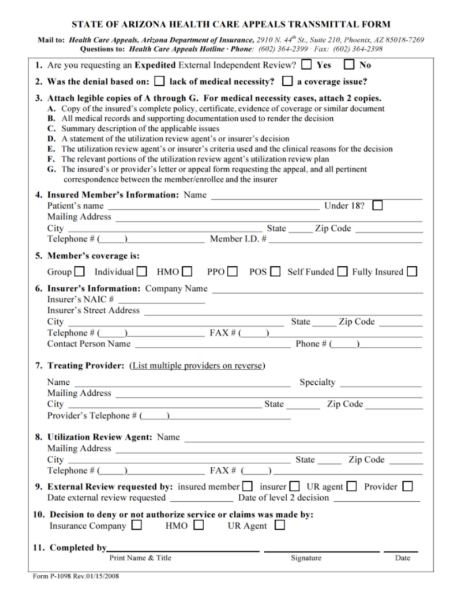# STATE OF ARIZONA HEALTH CARE APPEALS TRANSMITTAL FORM

Mail to: Health Care Appeals, Arizona Department of Insurance, 2910 N. 44th St., Suite 210, Phoenix, AZ 85018-7269 Questions to: Health Care Appeals Hotline · Phone: (602) 364-2399 · Fax: (602) 364-2398

| 1. Are you requesting an Expedited External Independent Review? $\Box$ Yes $\Box$ No                                                                                                                                                                                                                                                                                                                                                                                                                                                                                                                                                                                                                                                                                                   |  |  |
|----------------------------------------------------------------------------------------------------------------------------------------------------------------------------------------------------------------------------------------------------------------------------------------------------------------------------------------------------------------------------------------------------------------------------------------------------------------------------------------------------------------------------------------------------------------------------------------------------------------------------------------------------------------------------------------------------------------------------------------------------------------------------------------|--|--|
| 2. Was the denial based on: $\Box$ lack of medical necessity? $\Box$ a coverage issue?                                                                                                                                                                                                                                                                                                                                                                                                                                                                                                                                                                                                                                                                                                 |  |  |
| 3. Attach legible copies of A through G. For medical necessity cases, attach 2 copies.<br>A. Copy of the insured's complete policy, certificate, evidence of coverage or similar document<br><b>B.</b> All medical records and supporting documentation used to render the decision<br>C. Summary description of the applicable issues<br><b>D.</b> A statement of the utilization review agent's or insurer's decision<br>E. The utilization review agent's or insurer's criteria used and the clinical reasons for the decision<br>F. The relevant portions of the utilization review agent's utilization review plan<br>G. The insured's or provider's letter or appeal form requesting the appeal, and all pertinent<br>correspondence between the member/enrollee and the insurer |  |  |
|                                                                                                                                                                                                                                                                                                                                                                                                                                                                                                                                                                                                                                                                                                                                                                                        |  |  |
|                                                                                                                                                                                                                                                                                                                                                                                                                                                                                                                                                                                                                                                                                                                                                                                        |  |  |
|                                                                                                                                                                                                                                                                                                                                                                                                                                                                                                                                                                                                                                                                                                                                                                                        |  |  |
|                                                                                                                                                                                                                                                                                                                                                                                                                                                                                                                                                                                                                                                                                                                                                                                        |  |  |
| 5. Member's coverage is:                                                                                                                                                                                                                                                                                                                                                                                                                                                                                                                                                                                                                                                                                                                                                               |  |  |
| Group Individual HMO PPO POS Self Funded Fully Insured                                                                                                                                                                                                                                                                                                                                                                                                                                                                                                                                                                                                                                                                                                                                 |  |  |
| Insurer's NAIC #<br>State Zip Code<br>Telephone $#($ $)$ $FAX#($ $)$<br>the control of the control of the<br>Contact Person Name $\qquad \qquad$ Phone # ( $\qquad \qquad$ )                                                                                                                                                                                                                                                                                                                                                                                                                                                                                                                                                                                                           |  |  |
| 7. Treating Provider: (List multiple providers on reverse)                                                                                                                                                                                                                                                                                                                                                                                                                                                                                                                                                                                                                                                                                                                             |  |  |
| Specialty Specialty<br>Name                                                                                                                                                                                                                                                                                                                                                                                                                                                                                                                                                                                                                                                                                                                                                            |  |  |
| <b>Mailing Address</b>                                                                                                                                                                                                                                                                                                                                                                                                                                                                                                                                                                                                                                                                                                                                                                 |  |  |
| Provider's Telephone $#$ $\qquad$                                                                                                                                                                                                                                                                                                                                                                                                                                                                                                                                                                                                                                                                                                                                                      |  |  |
|                                                                                                                                                                                                                                                                                                                                                                                                                                                                                                                                                                                                                                                                                                                                                                                        |  |  |
|                                                                                                                                                                                                                                                                                                                                                                                                                                                                                                                                                                                                                                                                                                                                                                                        |  |  |
| Telephone $\#$ ( ) FAX $\#$ ( )                                                                                                                                                                                                                                                                                                                                                                                                                                                                                                                                                                                                                                                                                                                                                        |  |  |
| 9. External Review requested by: insured member insurer UR agent Provider                                                                                                                                                                                                                                                                                                                                                                                                                                                                                                                                                                                                                                                                                                              |  |  |
| 10. Decision to deny or not authorize service or claims was made by:<br>Insurance Company <b>HMO</b> UR Agent <b>H</b>                                                                                                                                                                                                                                                                                                                                                                                                                                                                                                                                                                                                                                                                 |  |  |
|                                                                                                                                                                                                                                                                                                                                                                                                                                                                                                                                                                                                                                                                                                                                                                                        |  |  |
| Print Name & Title<br>Signature<br>Date                                                                                                                                                                                                                                                                                                                                                                                                                                                                                                                                                                                                                                                                                                                                                |  |  |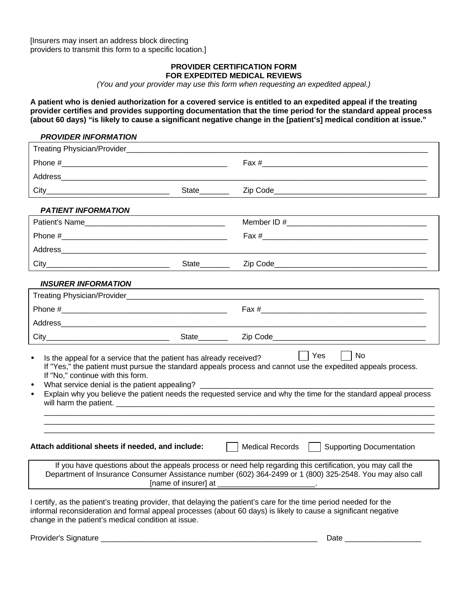[Insurers may insert an address block directing providers to transmit this form to a specific location.]

#### **PROVIDER CERTIFICATION FORM FOR EXPEDITED MEDICAL REVIEWS**

*(You and your provider may use this form when requesting an expedited appeal.)*

**A patient who is denied authorization for a covered service is entitled to an expedited appeal if the treating provider certifies and provides supporting documentation that the time period for the standard appeal process (about 60 days) "is likely to cause a significant negative change in the [patient's] medical condition at issue."**

#### *PROVIDER INFORMATION*

| Treating Physician/Provider_                                                                                                                                                                                              |                           |                                                                                                                                                                                                                                               |
|---------------------------------------------------------------------------------------------------------------------------------------------------------------------------------------------------------------------------|---------------------------|-----------------------------------------------------------------------------------------------------------------------------------------------------------------------------------------------------------------------------------------------|
|                                                                                                                                                                                                                           |                           | Fax #                                                                                                                                                                                                                                         |
|                                                                                                                                                                                                                           |                           |                                                                                                                                                                                                                                               |
|                                                                                                                                                                                                                           | State_______              |                                                                                                                                                                                                                                               |
| <b>PATIENT INFORMATION</b>                                                                                                                                                                                                |                           |                                                                                                                                                                                                                                               |
| Patient's Name                                                                                                                                                                                                            |                           |                                                                                                                                                                                                                                               |
|                                                                                                                                                                                                                           |                           |                                                                                                                                                                                                                                               |
|                                                                                                                                                                                                                           |                           |                                                                                                                                                                                                                                               |
|                                                                                                                                                                                                                           | State_______              |                                                                                                                                                                                                                                               |
| <b>INSURER INFORMATION</b>                                                                                                                                                                                                |                           |                                                                                                                                                                                                                                               |
|                                                                                                                                                                                                                           |                           | Treating Physician/Provider <b>Contract Contract Contract Contract Contract Contract Contract Contract Contract Contract Contract Contract Contract Contract Contract Contract Contract Contract Contract Contract Contract Cont</b>          |
|                                                                                                                                                                                                                           |                           |                                                                                                                                                                                                                                               |
|                                                                                                                                                                                                                           |                           |                                                                                                                                                                                                                                               |
|                                                                                                                                                                                                                           | State________             |                                                                                                                                                                                                                                               |
| Is the appeal for a service that the patient has already received?<br>$\bullet$<br>If "No," continue with this form.<br>What service denial is the patient appealing?<br>$\bullet$<br>$\bullet$<br>will harm the patient. |                           | Yes<br>No<br>If "Yes," the patient must pursue the standard appeals process and cannot use the expedited appeals process.<br>Explain why you believe the patient needs the requested service and why the time for the standard appeal process |
| Attach additional sheets if needed, and include:                                                                                                                                                                          | $\mathbf{E} = \mathbf{E}$ | Medical Records   Supporting Documentation                                                                                                                                                                                                    |
|                                                                                                                                                                                                                           |                           | If you have questions about the appeals process or need help regarding this certification, you may call the<br>Department of Insurance Consumer Assistance number (602) 364-2499 or 1 (800) 325-2548. You may also call                       |
| change in the patient's medical condition at issue.                                                                                                                                                                       |                           | I certify, as the patient's treating provider, that delaying the patient's care for the time period needed for the<br>informal reconsideration and formal appeal processes (about 60 days) is likely to cause a significant negative          |
| Provider's Signature                                                                                                                                                                                                      |                           | Date                                                                                                                                                                                                                                          |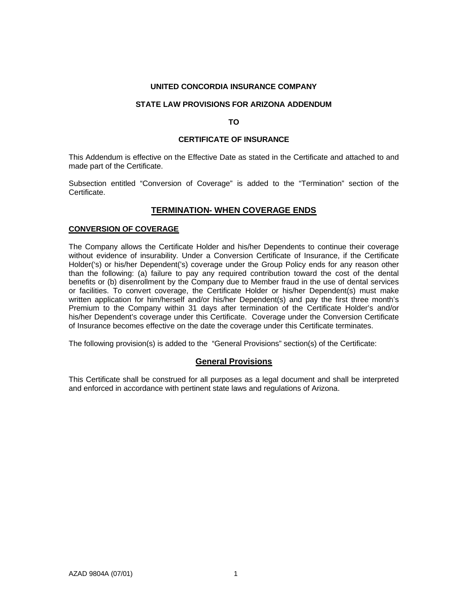#### **UNITED CONCORDIA INSURANCE COMPANY**

#### **STATE LAW PROVISIONS FOR ARIZONA ADDENDUM**

#### **TO**

#### **CERTIFICATE OF INSURANCE**

This Addendum is effective on the Effective Date as stated in the Certificate and attached to and made part of the Certificate.

Subsection entitled "Conversion of Coverage" is added to the "Termination" section of the **Certificate** 

#### **TERMINATION- WHEN COVERAGE ENDS**

#### **CONVERSION OF COVERAGE**

The Company allows the Certificate Holder and his/her Dependents to continue their coverage without evidence of insurability. Under a Conversion Certificate of Insurance, if the Certificate Holder('s) or his/her Dependent('s) coverage under the Group Policy ends for any reason other than the following: (a) failure to pay any required contribution toward the cost of the dental benefits or (b) disenrollment by the Company due to Member fraud in the use of dental services or facilities. To convert coverage, the Certificate Holder or his/her Dependent(s) must make written application for him/herself and/or his/her Dependent(s) and pay the first three month's Premium to the Company within 31 days after termination of the Certificate Holder's and/or his/her Dependent's coverage under this Certificate. Coverage under the Conversion Certificate of Insurance becomes effective on the date the coverage under this Certificate terminates.

The following provision(s) is added to the "General Provisions" section(s) of the Certificate:

#### **General Provisions**

This Certificate shall be construed for all purposes as a legal document and shall be interpreted and enforced in accordance with pertinent state laws and regulations of Arizona.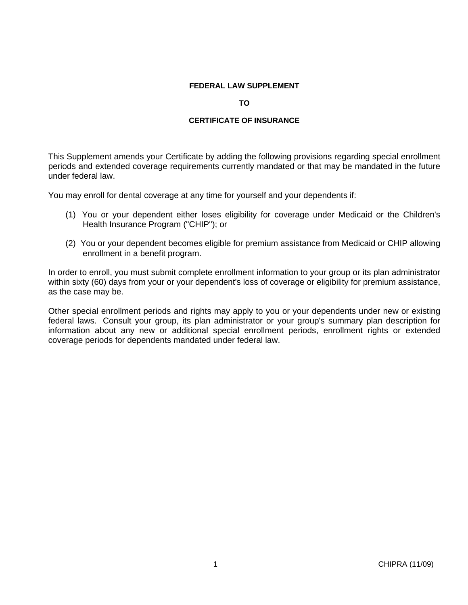#### **FEDERAL LAW SUPPLEMENT**

#### **TO**

#### **CERTIFICATE OF INSURANCE**

This Supplement amends your Certificate by adding the following provisions regarding special enrollment periods and extended coverage requirements currently mandated or that may be mandated in the future under federal law.

You may enroll for dental coverage at any time for yourself and your dependents if:

- (1) You or your dependent either loses eligibility for coverage under Medicaid or the Children's Health Insurance Program ("CHIP"); or
- (2) You or your dependent becomes eligible for premium assistance from Medicaid or CHIP allowing enrollment in a benefit program.

In order to enroll, you must submit complete enrollment information to your group or its plan administrator within sixty (60) days from your or your dependent's loss of coverage or eligibility for premium assistance, as the case may be.

Other special enrollment periods and rights may apply to you or your dependents under new or existing federal laws. Consult your group, its plan administrator or your group's summary plan description for information about any new or additional special enrollment periods, enrollment rights or extended coverage periods for dependents mandated under federal law.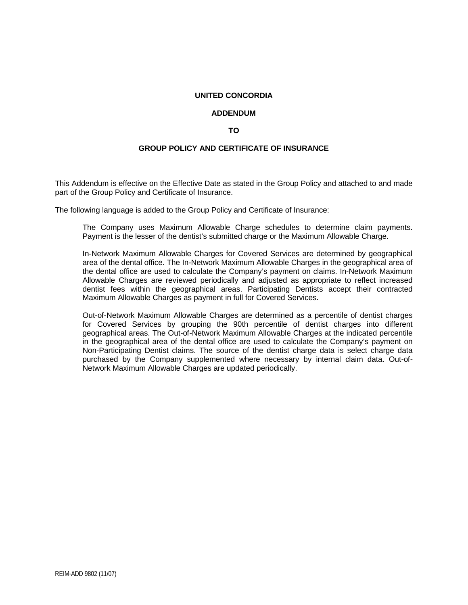#### **UNITED CONCORDIA**

#### **ADDENDUM**

#### **TO**

#### **GROUP POLICY AND CERTIFICATE OF INSURANCE**

This Addendum is effective on the Effective Date as stated in the Group Policy and attached to and made part of the Group Policy and Certificate of Insurance.

The following language is added to the Group Policy and Certificate of Insurance:

The Company uses Maximum Allowable Charge schedules to determine claim payments. Payment is the lesser of the dentist's submitted charge or the Maximum Allowable Charge.

In-Network Maximum Allowable Charges for Covered Services are determined by geographical area of the dental office. The In-Network Maximum Allowable Charges in the geographical area of the dental office are used to calculate the Company's payment on claims. In-Network Maximum Allowable Charges are reviewed periodically and adjusted as appropriate to reflect increased dentist fees within the geographical areas. Participating Dentists accept their contracted Maximum Allowable Charges as payment in full for Covered Services.

Out-of-Network Maximum Allowable Charges are determined as a percentile of dentist charges for Covered Services by grouping the 90th percentile of dentist charges into different geographical areas. The Out-of-Network Maximum Allowable Charges at the indicated percentile in the geographical area of the dental office are used to calculate the Company's payment on Non-Participating Dentist claims. The source of the dentist charge data is select charge data purchased by the Company supplemented where necessary by internal claim data. Out-of-Network Maximum Allowable Charges are updated periodically.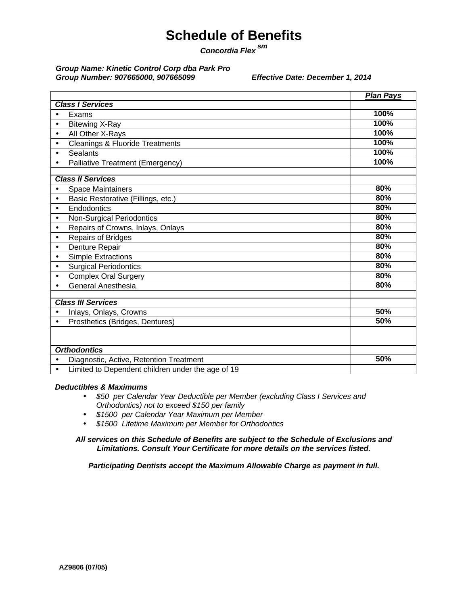# **Schedule of Benefits**

*Concordia Flex sm*

#### *Group Name: Kinetic Control Corp dba Park Pro Group Number: 907665000, 907665099 Effective Date: December 1, 2014*

|                                                                | <b>Plan Pays</b> |
|----------------------------------------------------------------|------------------|
| <b>Class I Services</b>                                        |                  |
| Exams<br>٠                                                     | 100%             |
| <b>Bitewing X-Ray</b><br>$\bullet$                             | 100%             |
| All Other X-Rays<br>$\bullet$                                  | 100%             |
| Cleanings & Fluoride Treatments<br>$\bullet$                   | 100%             |
| <b>Sealants</b><br>$\bullet$                                   | 100%             |
| Palliative Treatment (Emergency)                               | 100%             |
|                                                                |                  |
| <b>Class II Services</b>                                       |                  |
| <b>Space Maintainers</b>                                       | 80%              |
| Basic Restorative (Fillings, etc.)<br>$\bullet$                | 80%              |
| Endodontics<br>$\bullet$                                       | 80%              |
| Non-Surgical Periodontics<br>$\bullet$                         | 80%              |
| Repairs of Crowns, Inlays, Onlays<br>$\bullet$                 | 80%              |
| Repairs of Bridges<br>$\bullet$                                | 80%              |
| Denture Repair<br>$\bullet$                                    | 80%              |
| <b>Simple Extractions</b><br>$\bullet$                         | 80%              |
| <b>Surgical Periodontics</b><br>$\bullet$                      | 80%              |
| <b>Complex Oral Surgery</b><br>$\bullet$                       | 80%              |
| General Anesthesia                                             | 80%              |
|                                                                |                  |
| <b>Class III Services</b>                                      |                  |
| Inlays, Onlays, Crowns<br>$\bullet$                            | 50%              |
| Prosthetics (Bridges, Dentures)<br>$\bullet$                   | 50%              |
|                                                                |                  |
| <b>Orthodontics</b>                                            |                  |
| Diagnostic, Active, Retention Treatment                        | 50%              |
| Limited to Dependent children under the age of 19<br>$\bullet$ |                  |

#### *Deductibles & Maximums*

- *\$50 per Calendar Year Deductible per Member (excluding Class I Services and Orthodontics) not to exceed \$150 per family*
- *\$1500 per Calendar Year Maximum per Member*
- *\$1500 Lifetime Maximum per Member for Orthodontics*

*All services on this Schedule of Benefits are subject to the Schedule of Exclusions and Limitations. Consult Your Certificate for more details on the services listed.*

*Participating Dentists accept the Maximum Allowable Charge as payment in full.*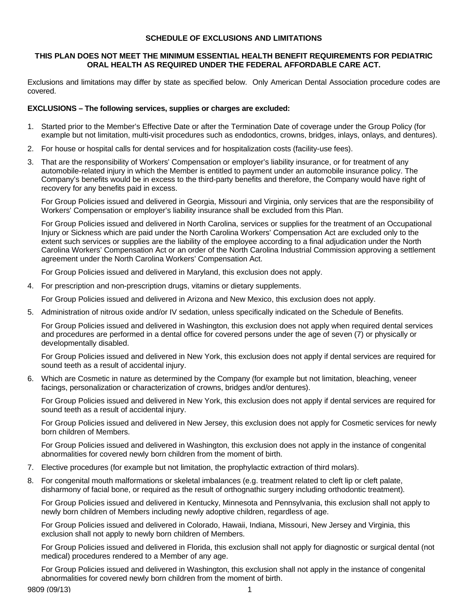#### **SCHEDULE OF EXCLUSIONS AND LIMITATIONS**

#### **THIS PLAN DOES NOT MEET THE MINIMUM ESSENTIAL HEALTH BENEFIT REQUIREMENTS FOR PEDIATRIC ORAL HEALTH AS REQUIRED UNDER THE FEDERAL AFFORDABLE CARE ACT.**

Exclusions and limitations may differ by state as specified below. Only American Dental Association procedure codes are covered.

#### **EXCLUSIONS – The following services, supplies or charges are excluded:**

- 1. Started prior to the Member's Effective Date or after the Termination Date of coverage under the Group Policy (for example but not limitation, multi-visit procedures such as endodontics, crowns, bridges, inlays, onlays, and dentures).
- 2. For house or hospital calls for dental services and for hospitalization costs (facility-use fees).
- 3. That are the responsibility of Workers' Compensation or employer's liability insurance, or for treatment of any automobile-related injury in which the Member is entitled to payment under an automobile insurance policy. The Company's benefits would be in excess to the third-party benefits and therefore, the Company would have right of recovery for any benefits paid in excess.

For Group Policies issued and delivered in Georgia, Missouri and Virginia, only services that are the responsibility of Workers' Compensation or employer's liability insurance shall be excluded from this Plan.

For Group Policies issued and delivered in North Carolina, services or supplies for the treatment of an Occupational Injury or Sickness which are paid under the North Carolina Workers' Compensation Act are excluded only to the extent such services or supplies are the liability of the employee according to a final adjudication under the North Carolina Workers' Compensation Act or an order of the North Carolina Industrial Commission approving a settlement agreement under the North Carolina Workers' Compensation Act.

For Group Policies issued and delivered in Maryland, this exclusion does not apply.

4. For prescription and non-prescription drugs, vitamins or dietary supplements.

For Group Policies issued and delivered in Arizona and New Mexico, this exclusion does not apply.

5. Administration of nitrous oxide and/or IV sedation, unless specifically indicated on the Schedule of Benefits.

For Group Policies issued and delivered in Washington, this exclusion does not apply when required dental services and procedures are performed in a dental office for covered persons under the age of seven (7) or physically or developmentally disabled.

For Group Policies issued and delivered in New York, this exclusion does not apply if dental services are required for sound teeth as a result of accidental injury.

6. Which are Cosmetic in nature as determined by the Company (for example but not limitation, bleaching, veneer facings, personalization or characterization of crowns, bridges and/or dentures).

For Group Policies issued and delivered in New York, this exclusion does not apply if dental services are required for sound teeth as a result of accidental injury.

For Group Policies issued and delivered in New Jersey, this exclusion does not apply for Cosmetic services for newly born children of Members.

For Group Policies issued and delivered in Washington, this exclusion does not apply in the instance of congenital abnormalities for covered newly born children from the moment of birth.

- 7. Elective procedures (for example but not limitation, the prophylactic extraction of third molars).
- 8. For congenital mouth malformations or skeletal imbalances (e.g. treatment related to cleft lip or cleft palate, disharmony of facial bone, or required as the result of orthognathic surgery including orthodontic treatment).

For Group Policies issued and delivered in Kentucky, Minnesota and Pennsylvania, this exclusion shall not apply to newly born children of Members including newly adoptive children, regardless of age.

For Group Policies issued and delivered in Colorado, Hawaii, Indiana, Missouri, New Jersey and Virginia, this exclusion shall not apply to newly born children of Members.

For Group Policies issued and delivered in Florida, this exclusion shall not apply for diagnostic or surgical dental (not medical) procedures rendered to a Member of any age.

For Group Policies issued and delivered in Washington, this exclusion shall not apply in the instance of congenital abnormalities for covered newly born children from the moment of birth.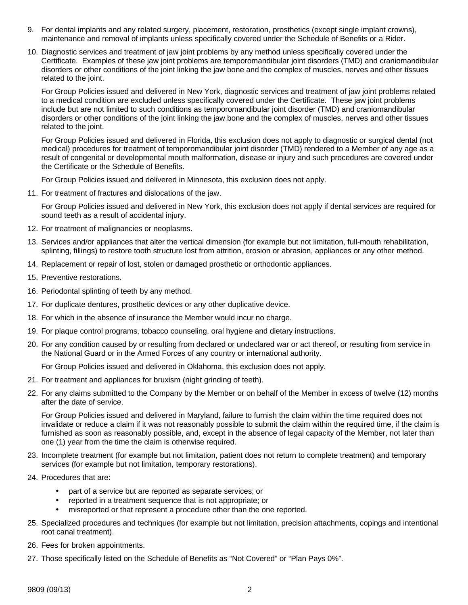- 9. For dental implants and any related surgery, placement, restoration, prosthetics (except single implant crowns), maintenance and removal of implants unless specifically covered under the Schedule of Benefits or a Rider.
- 10. Diagnostic services and treatment of jaw joint problems by any method unless specifically covered under the Certificate. Examples of these jaw joint problems are temporomandibular joint disorders (TMD) and craniomandibular disorders or other conditions of the joint linking the jaw bone and the complex of muscles, nerves and other tissues related to the joint.

For Group Policies issued and delivered in New York, diagnostic services and treatment of jaw joint problems related to a medical condition are excluded unless specifically covered under the Certificate. These jaw joint problems include but are not limited to such conditions as temporomandibular joint disorder (TMD) and craniomandibular disorders or other conditions of the joint linking the jaw bone and the complex of muscles, nerves and other tissues related to the joint.

For Group Policies issued and delivered in Florida, this exclusion does not apply to diagnostic or surgical dental (not medical) procedures for treatment of temporomandibular joint disorder (TMD) rendered to a Member of any age as a result of congenital or developmental mouth malformation, disease or injury and such procedures are covered under the Certificate or the Schedule of Benefits.

For Group Policies issued and delivered in Minnesota, this exclusion does not apply.

11. For treatment of fractures and dislocations of the jaw.

For Group Policies issued and delivered in New York, this exclusion does not apply if dental services are required for sound teeth as a result of accidental injury.

- 12. For treatment of malignancies or neoplasms.
- 13. Services and/or appliances that alter the vertical dimension (for example but not limitation, full-mouth rehabilitation, splinting, fillings) to restore tooth structure lost from attrition, erosion or abrasion, appliances or any other method.
- 14. Replacement or repair of lost, stolen or damaged prosthetic or orthodontic appliances.
- 15. Preventive restorations.
- 16. Periodontal splinting of teeth by any method.
- 17. For duplicate dentures, prosthetic devices or any other duplicative device.
- 18. For which in the absence of insurance the Member would incur no charge.
- 19. For plaque control programs, tobacco counseling, oral hygiene and dietary instructions.
- 20. For any condition caused by or resulting from declared or undeclared war or act thereof, or resulting from service in the National Guard or in the Armed Forces of any country or international authority.

For Group Policies issued and delivered in Oklahoma, this exclusion does not apply.

- 21. For treatment and appliances for bruxism (night grinding of teeth).
- 22. For any claims submitted to the Company by the Member or on behalf of the Member in excess of twelve (12) months after the date of service.

For Group Policies issued and delivered in Maryland, failure to furnish the claim within the time required does not invalidate or reduce a claim if it was not reasonably possible to submit the claim within the required time, if the claim is furnished as soon as reasonably possible, and, except in the absence of legal capacity of the Member, not later than one (1) year from the time the claim is otherwise required.

- 23. Incomplete treatment (for example but not limitation, patient does not return to complete treatment) and temporary services (for example but not limitation, temporary restorations).
- 24. Procedures that are:
	- part of a service but are reported as separate services; or
	- reported in a treatment sequence that is not appropriate; or
	- misreported or that represent a procedure other than the one reported.
- 25. Specialized procedures and techniques (for example but not limitation, precision attachments, copings and intentional root canal treatment).
- 26. Fees for broken appointments.
- 27. Those specifically listed on the Schedule of Benefits as "Not Covered" or "Plan Pays 0%".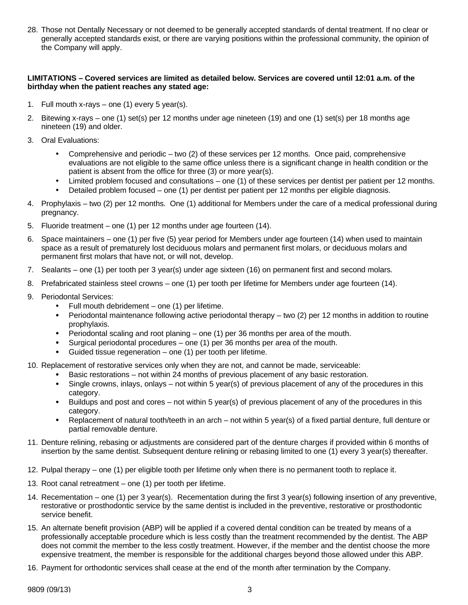28. Those not Dentally Necessary or not deemed to be generally accepted standards of dental treatment. If no clear or generally accepted standards exist, or there are varying positions within the professional community, the opinion of the Company will apply.

#### **LIMITATIONS – Covered services are limited as detailed below. Services are covered until 12:01 a.m. of the birthday when the patient reaches any stated age:**

- 1. Full mouth x-rays one (1) every 5 year(s).
- 2. Bitewing x-rays one (1) set(s) per 12 months under age nineteen (19) and one (1) set(s) per 18 months age nineteen (19) and older.
- 3. Oral Evaluations:
	- Comprehensive and periodic two  $(2)$  of these services per 12 months. Once paid, comprehensive evaluations are not eligible to the same office unless there is a significant change in health condition or the patient is absent from the office for three (3) or more year(s).
	- Limited problem focused and consultations one (1) of these services per dentist per patient per 12 months.
	- Detailed problem focused one (1) per dentist per patient per 12 months per eligible diagnosis.
- 4. Prophylaxis two (2) per 12 months. One (1) additional for Members under the care of a medical professional during pregnancy.
- 5. Fluoride treatment one (1) per 12 months under age fourteen (14).
- 6. Space maintainers one (1) per five (5) year period for Members under age fourteen (14) when used to maintain space as a result of prematurely lost deciduous molars and permanent first molars, or deciduous molars and permanent first molars that have not, or will not, develop.
- 7. Sealants one (1) per tooth per 3 year(s) under age sixteen (16) on permanent first and second molars.
- 8. Prefabricated stainless steel crowns one (1) per tooth per lifetime for Members under age fourteen (14).
- 9. Periodontal Services:
	- Full mouth debridement one  $(1)$  per lifetime.
	- Periodontal maintenance following active periodontal therapy two (2) per 12 months in addition to routine prophylaxis.
	- Periodontal scaling and root planing one (1) per 36 months per area of the mouth.
	- Surgical periodontal procedures one (1) per 36 months per area of the mouth.
	- Guided tissue regeneration  $-$  one (1) per tooth per lifetime.
- 10. Replacement of restorative services only when they are not, and cannot be made, serviceable:
	- Basic restorations not within 24 months of previous placement of any basic restoration.
	- Single crowns, inlays, onlays not within 5 year(s) of previous placement of any of the procedures in this category.
	- Buildups and post and cores not within 5 year(s) of previous placement of any of the procedures in this category.
	- Replacement of natural tooth/teeth in an arch not within 5 year(s) of a fixed partial denture, full denture or partial removable denture.
- 11. Denture relining, rebasing or adjustments are considered part of the denture charges if provided within 6 months of insertion by the same dentist. Subsequent denture relining or rebasing limited to one (1) every 3 year(s) thereafter.
- 12. Pulpal therapy one (1) per eligible tooth per lifetime only when there is no permanent tooth to replace it.
- 13. Root canal retreatment one (1) per tooth per lifetime.
- 14. Recementation one (1) per 3 year(s). Recementation during the first 3 year(s) following insertion of any preventive, restorative or prosthodontic service by the same dentist is included in the preventive, restorative or prosthodontic service benefit.
- 15. An alternate benefit provision (ABP) will be applied if a covered dental condition can be treated by means of a professionally acceptable procedure which is less costly than the treatment recommended by the dentist. The ABP does not commit the member to the less costly treatment. However, if the member and the dentist choose the more expensive treatment, the member is responsible for the additional charges beyond those allowed under this ABP.
- 16. Payment for orthodontic services shall cease at the end of the month after termination by the Company.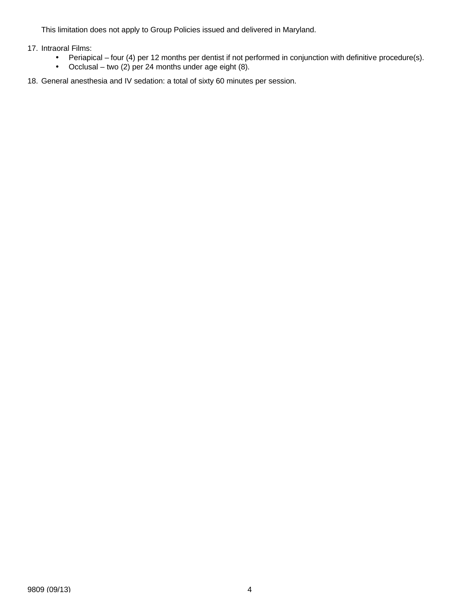This limitation does not apply to Group Policies issued and delivered in Maryland.

17. Intraoral Films:

- Periapical four (4) per 12 months per dentist if not performed in conjunction with definitive procedure(s).
- Occlusal two (2) per 24 months under age eight (8).
- 18. General anesthesia and IV sedation: a total of sixty 60 minutes per session.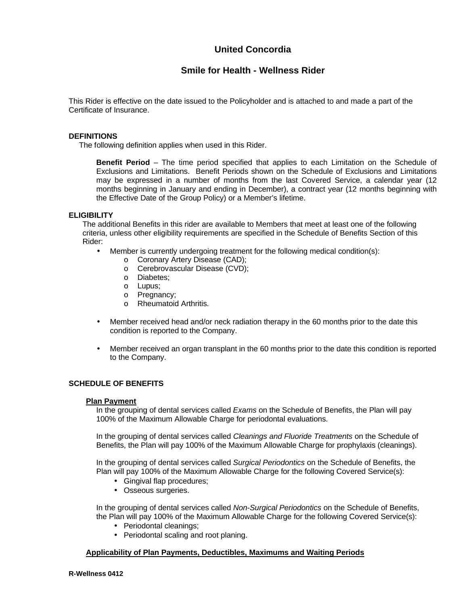# **United Concordia**

## **Smile for Health - Wellness Rider**

This Rider is effective on the date issued to the Policyholder and is attached to and made a part of the Certificate of Insurance.

#### **DEFINITIONS**

The following definition applies when used in this Rider.

**Benefit Period** – The time period specified that applies to each Limitation on the Schedule of Exclusions and Limitations. Benefit Periods shown on the Schedule of Exclusions and Limitations may be expressed in a number of months from the last Covered Service, a calendar year (12 months beginning in January and ending in December), a contract year (12 months beginning with the Effective Date of the Group Policy) or a Member's lifetime.

#### **ELIGIBILITY**

The additional Benefits in this rider are available to Members that meet at least one of the following criteria, unless other eligibility requirements are specified in the Schedule of Benefits Section of this Rider:

- Member is currently undergoing treatment for the following medical condition(s):
	- o Coronary Artery Disease (CAD);
	- o Cerebrovascular Disease (CVD);
	- o Diabetes;
	- o Lupus;
	- o Pregnancy;
	- o Rheumatoid Arthritis.
- Member received head and/or neck radiation therapy in the 60 months prior to the date this condition is reported to the Company.
- Member received an organ transplant in the 60 months prior to the date this condition is reported to the Company.

#### **SCHEDULE OF BENEFITS**

#### **Plan Payment**

In the grouping of dental services called *Exams* on the Schedule of Benefits, the Plan will pay 100% of the Maximum Allowable Charge for periodontal evaluations.

In the grouping of dental services called *Cleanings and Fluoride Treatments* on the Schedule of Benefits, the Plan will pay 100% of the Maximum Allowable Charge for prophylaxis (cleanings).

In the grouping of dental services called *Surgical Periodontics* on the Schedule of Benefits, the Plan will pay 100% of the Maximum Allowable Charge for the following Covered Service(s):

- Gingival flap procedures;
- Osseous surgeries.

In the grouping of dental services called *Non-Surgical Periodontics* on the Schedule of Benefits, the Plan will pay 100% of the Maximum Allowable Charge for the following Covered Service(s):

- Periodontal cleanings;
- Periodontal scaling and root planing.

#### **Applicability of Plan Payments, Deductibles, Maximums and Waiting Periods**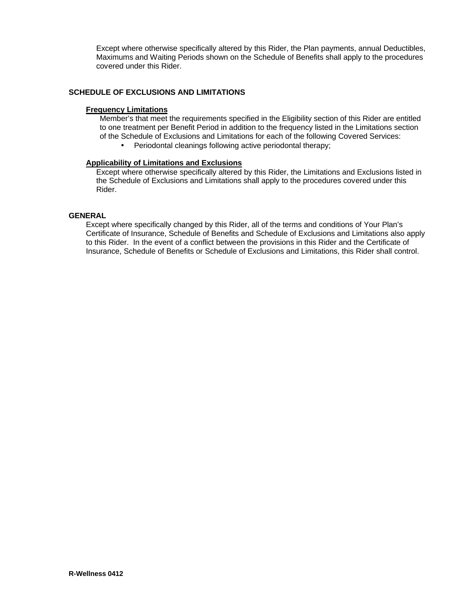Except where otherwise specifically altered by this Rider, the Plan payments, annual Deductibles, Maximums and Waiting Periods shown on the Schedule of Benefits shall apply to the procedures covered under this Rider.

#### **SCHEDULE OF EXCLUSIONS AND LIMITATIONS**

#### **Frequency Limitations**

Member's that meet the requirements specified in the Eligibility section of this Rider are entitled to one treatment per Benefit Period in addition to the frequency listed in the Limitations section of the Schedule of Exclusions and Limitations for each of the following Covered Services:

• Periodontal cleanings following active periodontal therapy;

#### **Applicability of Limitations and Exclusions**

Except where otherwise specifically altered by this Rider, the Limitations and Exclusions listed in the Schedule of Exclusions and Limitations shall apply to the procedures covered under this Rider.

#### **GENERAL**

Except where specifically changed by this Rider, all of the terms and conditions of Your Plan's Certificate of Insurance, Schedule of Benefits and Schedule of Exclusions and Limitations also apply to this Rider. In the event of a conflict between the provisions in this Rider and the Certificate of Insurance, Schedule of Benefits or Schedule of Exclusions and Limitations, this Rider shall control.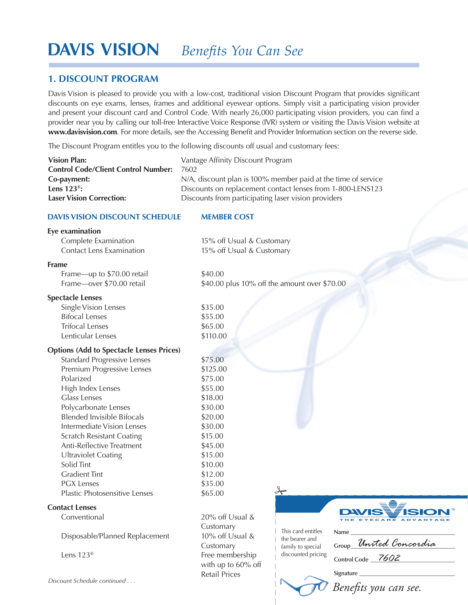# **Davis Vision** *Benefits You Can See*

# **1. Discount Program**

*Discount Schedule continued . . .*

Davis Vision is pleased to provide you with a low-cost, traditional vision Discount Program that provides significant discounts on eye exams, lenses, frames and additional eyewear options. Simply visit a participating vision provider and present your discount card and Control Code. With nearly 26,000 participating vision providers, you can find a provider near you by calling our toll-free Interactive Voice Response (IVR) system or visiting the Davis Vision website at **www.davisvision.com**. For more details, see the Accessing Benefit and Provider Information section on the reverse side.

The Discount Program entitles you to the following discounts off usual and customary fees:

| <b>Vision Plan:</b><br><b>Control Code/Client Control Number:</b><br>Co-payment:<br>Lens $123^\circ$ :<br><b>Laser Vision Correction:</b>                                                                                                                                                                                                                                                                                                                                 | Vantage Affinity Discount Program<br>7602<br>N/A, discount plan is 100% member paid at the time of service<br>Discounts on replacement contact lenses from 1-800-LENS123<br>Discounts from participating laser vision providers                    |  |  |
|---------------------------------------------------------------------------------------------------------------------------------------------------------------------------------------------------------------------------------------------------------------------------------------------------------------------------------------------------------------------------------------------------------------------------------------------------------------------------|----------------------------------------------------------------------------------------------------------------------------------------------------------------------------------------------------------------------------------------------------|--|--|
| <b>DAVIS VISION DISCOUNT SCHEDULE</b>                                                                                                                                                                                                                                                                                                                                                                                                                                     | <b>MEMBER COST</b>                                                                                                                                                                                                                                 |  |  |
| Eye examination<br>Complete Examination<br><b>Contact Lens Examination</b>                                                                                                                                                                                                                                                                                                                                                                                                | 15% off Usual & Customary<br>15% off Usual & Customary                                                                                                                                                                                             |  |  |
| <b>Frame</b><br>Frame-up to \$70.00 retail<br>Frame-over \$70.00 retail                                                                                                                                                                                                                                                                                                                                                                                                   | \$40.00<br>\$40.00 plus 10% off the amount over \$70.00                                                                                                                                                                                            |  |  |
| <b>Spectacle Lenses</b><br>Single Vision Lenses<br><b>Bifocal Lenses</b><br><b>Trifocal Lenses</b><br>Lenticular Lenses                                                                                                                                                                                                                                                                                                                                                   | \$35.00<br>\$55.00<br>\$65.00<br>\$110.00                                                                                                                                                                                                          |  |  |
| <b>Options (Add to Spectacle Lenses Prices)</b><br><b>Standard Progressive Lenses</b><br>Premium Progressive Lenses<br>Polarized<br>High Index Lenses<br><b>Glass Lenses</b><br>Polycarbonate Lenses<br><b>Blended Invisible Bifocals</b><br>Intermediate Vision Lenses<br><b>Scratch Resistant Coating</b><br>Anti-Reflective Treatment<br><b>Ultraviolet Coating</b><br>Solid Tint<br><b>Gradient Tint</b><br><b>PGX Lenses</b><br><b>Plastic Photosensitive Lenses</b> | \$75.00<br>\$125.00<br>\$75.00<br>\$55.00<br>\$18.00<br>\$30.00<br>\$20.00<br>\$30.00<br>\$15.00<br>\$45.00<br>\$15.00<br>\$10.00<br>\$12.00<br>\$35.00<br>⊁<br>\$65.00                                                                            |  |  |
| <b>Contact Lenses</b><br>Conventional<br>Disposable/Planned Replacement<br>Lens 123 <sup>®</sup>                                                                                                                                                                                                                                                                                                                                                                          | 20% off Usual &<br>Customary<br>This card entitles<br>Name_<br>10% off Usual &<br>the bearer and<br>Group United Concordia<br>Customary<br>family to special<br>discounted pricing<br>Free membership<br>Control Code $7602$<br>with up to 60% off |  |  |
|                                                                                                                                                                                                                                                                                                                                                                                                                                                                           | Retail Prices                                                                                                                                                                                                                                      |  |  |

*Benefits you can see.*